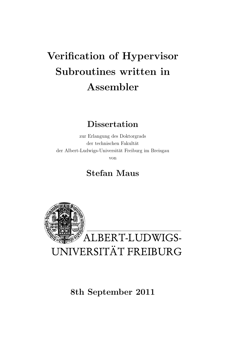# Verification of Hypervisor Subroutines written in Assembler

# **Dissertation**

zur Erlangung des Doktorgrads der technischen Fakultät der Albert-Ludwigs-Universität Freiburg im Breisgau von

# Stefan Maus



8th September 2011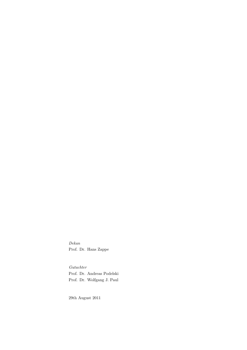Dekan Prof. Dr. Hans Zappe

Gutachter Prof. Dr. Andreas Podelski Prof. Dr. Wolfgang J. Paul

29th August 2011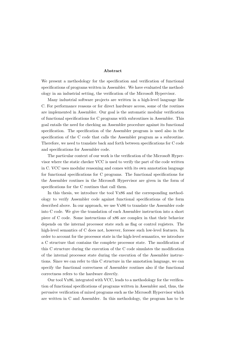#### Abstract

We present a methodology for the specification and verification of functional specifications of programs written in Assembler. We have evaluated the methodology in an industrial setting, the verification of the Microsoft Hypervisor.

Many industrial software projects are written in a high-level language like C. For performance reasons or for direct hardware access, some of the routines are implemented in Assembler. Our goal is the automatic modular verification of functional specifications for C programs with subroutines in Assembler. This goal entails the need for checking an Assembler procedure against its functional specification. The specification of the Assembler program is used also in the specification of the C code that calls the Assembler program as a subroutine. Therefore, we need to translate back and forth between specifications for C code and specifications for Assembler code.

The particular context of our work is the verification of the Microsoft Hypervisor where the static checker VCC is used to verify the part of the code written in C. VCC uses modular reasoning and comes with its own annotation language for functional specifications for C programs. The functional specifications for the Assembler routines in the Microsoft Hypervisor are given in the form of specifications for the C routines that call them.

In this thesis, we introduce the tool Vx86 and the corresponding methodology to verify Assembler code against functional specifications of the form described above. In our approach, we use Vx86 to translate the Assembler code into C code. We give the translation of each Assembler instruction into a short piece of C code. Some instructions of x86 are complex in that their behavior depends on the internal processor state such as flag or control registers. The high-level semantics of C does not, however, foresee such low-level featuers. In order to account for the processor state in the high-level semantics, we introduce a C structure that contains the complete processor state. The modification of this C structure during the execution of the C code simulates the modification of the internal processor state during the execution of the Assembler instructions. Since we can refer to this C structure in the annotation language, we can specify the functional correctness of Assembler routines also if the functional correctness refers to the hardware directly.

Our tool Vx86, integrated with VCC, leads to a methodology for the verification of functional specifications of programs written in Assembler and, thus, the pervasive verification of mixed programs such as the Microsoft Hypervisor which are written in C and Assembler. In this methodology, the program has to be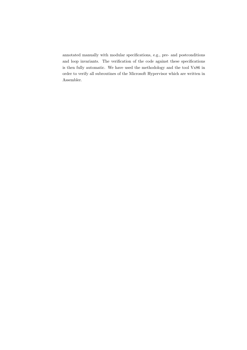annotated manually with modular specifications, e.g., pre- and postconditions and loop invariants. The verification of the code against these specifications is then fully automatic. We have used the methodology and the tool Vx86 in order to verify all subroutines of the Microsoft Hypervisor which are written in Assembler.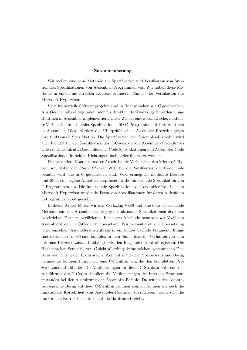#### Zusammenfassung

Wir stellen eine neue Methode zur Spezifikation und Verifikation von funktionalen Spezifikationen von Assembler-Programmen vor. Wir haben diese Methode in einem industriellen Kontext evaluiert, nämlich der Verifikation des Microsoft Hypervisor.

Viele industrielle Softwareprojekte sind in Hochsprachen wie C geschrieben. Aus Geschwindigkeitsgründen oder für direkten Hardwarezugriff werden einige Routinen in Assembler implementiert. Unser Ziel ist eine automatische, modulare Verifikation funktionaler Spezifikationen für C-Programme mit Unterroutinen in Assembler. Dies erfordert das Überprüfen einer Assembler-Prozedur gegen ihre funktionale Spezifikation. Die Spezifikation der Assembler-Prozedur wird auch benutzt für der Spezifikation des C-Codes, der die Assembler-Prozedur als Unterroutine aufruft. Dazu müssen C-Code Spezifikationen und Assembler-Code Spezifikationen in beiden Richtungen ineinander übersetzt werden.

Der besondere Kontext unserer Arbeit ist die Verifikation des Microsoft Hypervisor, wobei der Static Checker VCC für die Verifikation der Code Teile benutzt wird, die in C geschrieben sind. VCC ermöglicht modulare Beweise und führt eine eigene Annotationssprache für die funktionale Spezifikation von C-Programmen ein. Die funktionale Spezifikation von Assembler-Routinen im Microsoft Hypervisor werden in Form von Spezifikationen für deren Aufrufe im C-Programm bereit gestellt.

In dieser Arbeit führen wir das Werkzeug Vx86 und eine darauf beruhende Methode ein, um Assembler-Code gegen funktionale Spezifikationen der oben beschrieben Form zu verifizieren. In unserer Methode benutzen wir Vx86 um Assembler-Code in C-Code zu übersetzen. Wir präsentieren die Übersetzung jeder einzelnen Assembler-Instruktion in ein kurzes C-Code Fragment. Einige Instruktionen des x86 sind komplex in dem Sinne, dass ihr Verhalten von dem internen Prozessorzustand abhängt, wie den Flag- oder Kontrollregistern. Die Hochsprachen-Semantik von C sieht allerdings keine solchen systemnahen Features vor. Um in der Hochsprachen-Semantik auf den Prozessorzustand Bezug nehmen zu können, führen wir eine C-Struktur ein, die den kompletten Prozessorzustand abbildet. Die Veränderungen an dieser C-Struktur während der Ausführung des C-Codes simuliert die Veränderungen des internen Prozessorzustandes bei der Ausführung der Assembler-Befehle. Da wir in der Annotationssprache Bezug auf diese C-Struktur nehmen können, können wir auch die funktionale Korrektheit von Assembler-Routinen spezifizieren, wenn sich die funktionale Korrektheit direkt auf die Hardware bezieht.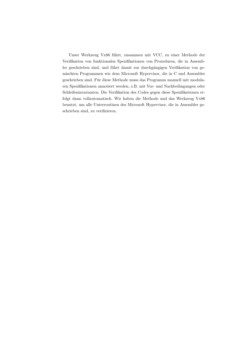Unser Werkzeug Vx86 fuhrt, zusammen mit VCC, zu einer Methode der ¨ Verifikation von funktionalen Spezifikationen von Prozeduren, die in Assembler geschrieben sind, und führt damit zur durchgängigen Verifikation von gemischten Programmen wie dem Microsoft Hypervisor, die in C und Assembler geschrieben sind. Für diese Methode muss das Programm manuell mit modularen Spezifikationen annotiert werden, z.B. mit Vor- und Nachbedingungen oder Schleifeninvarianten. Die Verifikation des Codes gegen diese Spezifikationen erfolgt dann vollautomatisch. Wir haben die Methode und das Werkzeug Vx86 benutzt, um alle Unterroutinen des Microsoft Hypervisor, die in Assembler geschrieben sind, zu verifizieren.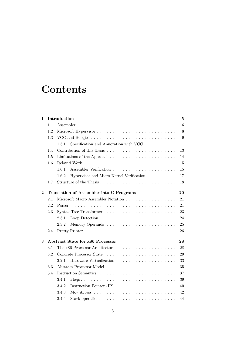# **Contents**

| 1        |                                         | Introduction                                                                      |    |  |  |  |
|----------|-----------------------------------------|-----------------------------------------------------------------------------------|----|--|--|--|
|          | 1.1                                     |                                                                                   | 6  |  |  |  |
|          | 1.2                                     |                                                                                   |    |  |  |  |
|          | 1.3                                     |                                                                                   | 9  |  |  |  |
|          |                                         | 1.3.1<br>Specification and Annotation with VCC $\ldots \ldots \ldots$             | 11 |  |  |  |
|          | 1.4                                     |                                                                                   | 13 |  |  |  |
|          | 1.5                                     | Limitations of the Approach $\dots \dots \dots \dots \dots \dots \dots \dots$     | 14 |  |  |  |
|          | 1.6                                     |                                                                                   | 15 |  |  |  |
|          |                                         | 1.6.1                                                                             | 15 |  |  |  |
|          |                                         | Hypervisor and Micro Kernel Verification<br>1.6.2                                 | 17 |  |  |  |
|          | 1.7                                     | Structure of the Thesis                                                           | 18 |  |  |  |
| $\bf{2}$ |                                         | Translation of Assembler into C Programs                                          |    |  |  |  |
|          | 2.1                                     | Microsoft Macro Assembler Notation                                                | 21 |  |  |  |
|          | 2.2                                     |                                                                                   | 21 |  |  |  |
|          | 2.3                                     | Syntax Tree Transformer                                                           | 23 |  |  |  |
|          |                                         | 2.3.1                                                                             | 24 |  |  |  |
|          |                                         | 2.3.2                                                                             | 25 |  |  |  |
|          | 2.4                                     | Pretty Printer                                                                    | 26 |  |  |  |
| 3        | <b>Abstract State for x86 Processor</b> |                                                                                   | 28 |  |  |  |
|          | 3.1                                     |                                                                                   | 28 |  |  |  |
|          | 3.2                                     |                                                                                   | 29 |  |  |  |
|          |                                         | 3.2.1                                                                             | 33 |  |  |  |
|          | 3.3                                     |                                                                                   | 35 |  |  |  |
|          | 3.4                                     |                                                                                   | 37 |  |  |  |
|          |                                         | 3.4.1                                                                             | 39 |  |  |  |
|          |                                         | 3.4.2                                                                             | 40 |  |  |  |
|          |                                         | 3.4.3                                                                             | 42 |  |  |  |
|          |                                         | 3.4.4<br>Stack operations $\dots \dots \dots \dots \dots \dots \dots \dots \dots$ | 44 |  |  |  |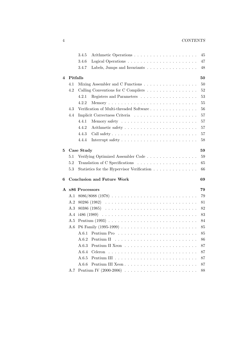#### 4 CONTENTS

|   |                      | 3.4.5<br>45                                                                       |    |  |  |  |  |
|---|----------------------|-----------------------------------------------------------------------------------|----|--|--|--|--|
|   |                      | 3.4.6<br>47                                                                       |    |  |  |  |  |
|   |                      | 3.4.7<br>Labels, Jumps and Invariants $\dots \dots \dots \dots \dots \dots$<br>48 |    |  |  |  |  |
|   |                      |                                                                                   |    |  |  |  |  |
| 4 | Pitfalls             | 50                                                                                |    |  |  |  |  |
|   | 4.1                  | Mixing Assembler and C Functions<br>50                                            |    |  |  |  |  |
|   | 4.2                  | 52<br>Calling Conventions for C Compilers                                         |    |  |  |  |  |
|   |                      | 53<br>4.2.1                                                                       |    |  |  |  |  |
|   |                      | 55<br>4.2.2                                                                       |    |  |  |  |  |
|   | 4.3                  | Verification of Multi-threaded Software<br>56                                     |    |  |  |  |  |
|   | 4.4                  |                                                                                   | 57 |  |  |  |  |
|   |                      | 57<br>4.4.1                                                                       |    |  |  |  |  |
|   |                      | 57<br>4.4.2                                                                       |    |  |  |  |  |
|   |                      | 4.4.3<br>57                                                                       |    |  |  |  |  |
|   |                      | 4.4.4<br>58                                                                       |    |  |  |  |  |
| 5 |                      | Case Study<br>59                                                                  |    |  |  |  |  |
|   | $5.1\,$              | Verifying Optimized Assembler Code<br>59                                          |    |  |  |  |  |
|   | 5.2                  | 65                                                                                |    |  |  |  |  |
|   | 5.3                  | Statistics for the Hypervisor Verification<br>66                                  |    |  |  |  |  |
|   |                      |                                                                                   |    |  |  |  |  |
| 6 |                      | <b>Conclusion and Future Work</b><br>69                                           |    |  |  |  |  |
|   |                      | A x86 Processors<br>79                                                            |    |  |  |  |  |
|   | A.1                  | 79                                                                                |    |  |  |  |  |
|   | A.2                  | 81                                                                                |    |  |  |  |  |
|   | A.3                  | 82                                                                                |    |  |  |  |  |
|   | A.4<br>$1486 (1989)$ |                                                                                   | 83 |  |  |  |  |
|   | A.5                  | 84                                                                                |    |  |  |  |  |
|   | A.6                  | 85                                                                                |    |  |  |  |  |
|   |                      | 85                                                                                |    |  |  |  |  |
|   |                      | A.6.2<br>Pentium II<br>86                                                         |    |  |  |  |  |
|   |                      | A.6.3<br>87                                                                       |    |  |  |  |  |
|   |                      | A.6.4<br>87                                                                       |    |  |  |  |  |
|   |                      | A.6.5<br>87                                                                       |    |  |  |  |  |
|   |                      | A.6.6<br>87                                                                       |    |  |  |  |  |
|   |                      | 88                                                                                |    |  |  |  |  |
|   | A.7                  | Pentium IV (2000-2006) $\ldots \ldots \ldots \ldots \ldots \ldots \ldots \ldots$  |    |  |  |  |  |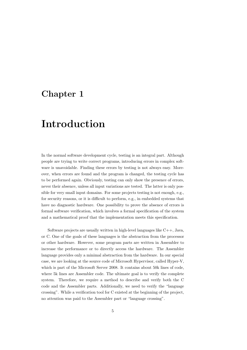# <span id="page-8-0"></span>Chapter 1

# Introduction

In the normal software development cycle, testing is an integral part. Although people are trying to write correct programs, introducing errors in complex software is unavoidable. Finding these errors by testing is not always easy. Moreover, when errors are found and the program is changed, the testing cycle has to be performed again. Obviously, testing can only show the presence of errors, never their absence, unless all input variations are tested. The latter is only possible for very small input domains. For some projects testing is not enough, e.g., for security reasons, or it is difficult to perform, e.g., in embedded systems that have no diagnostic hardware. One possibility to prove the absence of errors is formal software verification, which involves a formal specification of the system and a mathematical proof that the implementation meets this specification.

Software projects are usually written in high-level languages like  $C_{++}$ , Java, or C. One of the goals of these languages is the abstraction from the processor or other hardware. However, some program parts are written in Assembler to increase the performance or to directly access the hardware. The Assembler language provides only a minimal abstraction from the hardware. In our special case, we are looking at the source code of Microsoft Hypervisor, called Hyper-V, which is part of the Microsoft Server 2008. It contains about 50k lines of code, where 5k lines are Assembler code. The ultimate goal is to verify the complete system. Therefore, we require a method to describe and verify both the C code and the Assembler parts. Additionally, we need to verify the "language crossing". While a verification tool for C existed at the beginning of the project, no attention was paid to the Assembler part or "language crossing".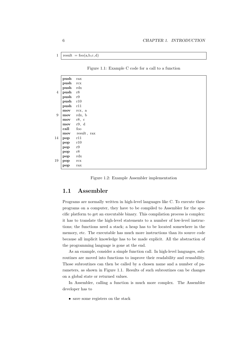$1 \text{ result} = \text{foo}(a, b, c, d)$ 

<span id="page-9-1"></span>Figure 1.1: Example C code for a call to a function

|                | push      | $\operatorname{rax}$ |
|----------------|-----------|----------------------|
|                | push      | $\operatorname{rcx}$ |
|                | push      | rdx                  |
| $\overline{4}$ | push      | r8                   |
|                | push      | r9                   |
|                | push      | r10                  |
|                | push      | r11                  |
|                | mov       | rcx, a               |
| 9              | mov       | rdx, b               |
|                | mov       | r8, c                |
|                | mov       | r9, d                |
|                | call      | $f_{OO}$             |
|                | mov       | result, rax          |
| 14             | pop       | r11                  |
|                | pop       | r10                  |
|                | pop       | $\rm r9$             |
|                | $\bf pop$ | $^{\rm r8}$          |
|                | pop       | rdx                  |
| 19             | pop       | $\operatorname{rcx}$ |
|                | pop       | $\operatorname{tax}$ |

<span id="page-9-2"></span>Figure 1.2: Example Assembler implementation

# <span id="page-9-0"></span>1.1 Assembler

Programs are normally written in high-level languages like C. To execute these programs on a computer, they have to be compiled to Assembler for the specific platform to get an executable binary. This compilation process is complex: it has to translate the high-level statements to a number of low-level instructions; the functions need a stack; a heap has to be located somewhere in the memory, etc. The executable has much more instructions than its source code because all implicit knowledge has to be made explicit. All the abstraction of the programming language is gone at the end.

As an example, consider a simple function call. In high-level languages, subroutines are moved into functions to improve their readability and reusability. Those subroutines can then be called by a chosen name and a number of parameters, as shown in Figure [1.1.](#page-9-1) Results of such subroutines can be changes on a global state or returned values.

In Assembler, calling a function is much more complex. The Assembler developer has to

• save some registers on the stack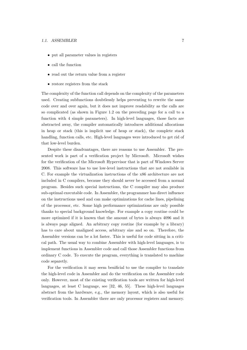#### 1.1. ASSEMBLER 7

- put all parameter values in registers
- call the function
- read out the return value from a register
- restore registers from the stack

The complexity of the function call depends on the complexity of the parameters used. Creating subfunctions doubtlessly helps preventing to rewrite the same code over and over again, but it does not improve readability as the calls are so complicated (as shown in Figure [1.2 on the preceding page](#page-9-2) for a call to a function with 4 simple parameters). In high-level languages, those facts are abstracted away, the compiler automatically introduces additional allocations in heap or stack (this is implicit use of heap or stack), the complete stack handling, function calls, etc. High-level languages were introduced to get rid of that low-level burden.

Despite these disadvantages, there are reasons to use Assembler. The presented work is part of a verification project by Microsoft. Microsoft wishes for the verification of the Microsoft Hypervisor that is part of Windows Server 2008. This software has to use low-level instructions that are not available in C. For example the virtualization instructions of the x86 architecture are not included in C compilers, because they should never be accessed from a normal program. Besides such special instructions, the C compiler may also produce sub-optimal executable code. In Assembler, the programmer has direct influence on the instructions used and can make optimizations for cache lines, pipelining of the processor, etc. Some high performance optimizations are only possible thanks to special background knowledge. For example a copy routine could be more optimized if it is known that the amount of bytes is always 4096 and it is always page aligned. An arbitrary copy routine (for example by a library) has to care about unaligned access, arbitrary size and so on. Therefore, the Assembler versions can be a lot faster. This is useful for code sitting in a critical path. The usual way to combine Assembler with high-level languages, is to implement functions in Assembler code and call those Assembler functions from ordinary C code. To execute the program, everything is translated to machine code separetly.

For the verification it may seem benificial to use the compiler to translate the high-level code in Assembler and do the verification on the Assembler code only. However, most of the existing verification tools are written for high-level languages, at least C language, see [\[32,](#page-78-0) [46,](#page-79-0) [55\]](#page-80-0). These high-level languages abstract from the hardware, e.g., the memory layout, which is also useful for verification tools. In Assembler there are only processor registers and memory.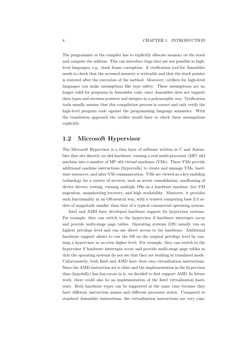The programmer or the compiler has to explicitly allocate memory on the stack and compute the address. This can introduce bugs that are not possible in highlevel languages, e.g., stack frame corruption. A verification tool for Assembler needs to check that the accessed memory is writeable and that the stack pointer is restored after the execution of the method. Moreover, verifiers for high-level languages can make assumptions like type safety. These assumptions are no longer valid for programs in Assembler code, since Assembler does not support data types and accesses pointers and integers in a polymorphic way. Verification tools usually assume that this compilation process is correct and only verify the high-level program code against the programming language semantics. With the translation approach the verifier would have to check these assumptions explicitly.

## <span id="page-11-0"></span>1.2 Microsoft Hypervisor

The Microsoft Hypervisor is a thin layer of software written in C and Assembler that sits directly on x64 hardware, turning a real multi-processor (MP) x64 machine into a number of MP x64 virtual machines (VMs). These VMs provide additional machine instructions (hypercalls) to create and manage VMs, hardware resources, and inter-VM communication. VMs are viewed as a key enabling technology for a variety of services, such as server consolidation, sandboxing of device drivers, testing, running multiple OSs on a hardware machine, live VM migration, snapshotting/recovery, and high availability. Moreover, it provides such functionality in an OS-neutral way, with a trusted computing base 2-3 orders of magnitude smaller than that of a typical commercial operating system.

Intel and AMD have developed hardware support for hypervisor systems. For example, they can switch to the hypervisor if hardware interrupts occur and provide multi-stage page tables. Operating systems (OS) usually run on highest privilege level and can use direct access to the hardware. Additional hardware support allows to run the OS on the original privilege level by running a hypervisor in an even higher level. For example, they can switch to the hypervisor if hardware interrupts occur and provide multi-stage page tables so that the operating systems do not see that they are working in translated mode. Unfortunately, both Intel and AMD have their own virtualization instructions. Since the AMD instruction set is older and the implementation in the hypervisor thus (hopefully) has less errors in it, we decided to first support AMD. In future work, there could also be an implementation of the Intel virtualization hardware. Both hardware types can be supported at the same time because they have different instruction names and different processor states. Compared to standard Assembler instructions, the virtualization instructions are very com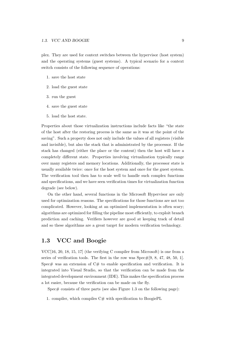plex. They are used for context switches between the hypervisor (host system) and the operating systems (guest systems). A typical scenario for a context switch consists of the following sequence of operations:

- 1. save the host state
- 2. load the guest state
- 3. run the guest
- 4. save the guest state
- 5. load the host state.

Properties about those virtualization instructions include facts like "the state of the host after the restoring process is the same as it was at the point of the saving". Such a property does not only include the values of all registers (visible and invisible), but also the stack that is administrated by the processor. If the stack has changed (either the place or the content) then the host will have a completely different state. Properties involving virtualization typically range over many registers and memory locations. Additionally, the processor state is usually available twice: once for the host system and once for the guest system. The verification tool then has to scale well to handle such complex functions and specifications, and we have seen verification times for virtualization function degrade (see below).

On the other hand, several functions in the Microsoft Hypervisor are only used for optimization reasons. The specifications for those functions are not too complicated. However, looking at an optimized implementation is often scary; algorithms are optimized for filling the pipeline most efficiently, to exploit branch prediction and caching. Verifiers however are good at keeping track of detail and so these algorithms are a great target for modern verification technology.

# <span id="page-12-0"></span>1.3 VCC and Boogie

VCC[\[16,](#page-76-0) [20,](#page-77-0) [18,](#page-77-1) [15,](#page-76-1) [17\]](#page-77-2) (the verifying C compiler from Microsoft) is one from a series of verification tools. The first in the row was  $Spec\#[9, 8, 47, 48, 50, 1]$  $Spec\#[9, 8, 47, 48, 50, 1]$  $Spec\#[9, 8, 47, 48, 50, 1]$  $Spec\#[9, 8, 47, 48, 50, 1]$  $Spec\#[9, 8, 47, 48, 50, 1]$  $Spec\#[9, 8, 47, 48, 50, 1]$  $Spec\#[9, 8, 47, 48, 50, 1]$ . Spec $#$  was an extension of  $C#$  to enable specification and verification. It is integrated into Visual Studio, so that the verification can be made from the integrated development environment (IDE). This makes the specification process a lot easier, because the verification can be made on the fly.

Spec $\#$  consists of three parts (see also Figure [1.3 on the following page\)](#page-13-0):

1. compiler, which compiles  $C#$  with specification to BoogiePL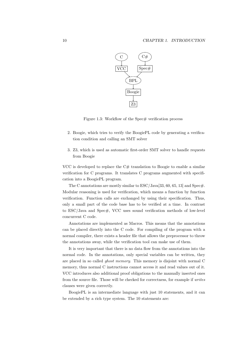

<span id="page-13-0"></span>Figure 1.3: Workflow of the  $Spec\#$  verification process

- 2. Boogie, which tries to verify the BoogiePL code by generating a verification condition and calling an SMT solver
- 3. Z3, which is used as automatic first-order SMT solver to handle requests from Boogie

VCC is developed to replace the  $C#$  translation to Boogie to enable a similar verification for C programs. It translates C programs augmented with specification into a BoogiePL program.

The C annotations are mostly similar to  $\text{ESC/Java}[33, 60, 65, 13]$  $\text{ESC/Java}[33, 60, 65, 13]$  $\text{ESC/Java}[33, 60, 65, 13]$  $\text{ESC/Java}[33, 60, 65, 13]$  $\text{ESC/Java}[33, 60, 65, 13]$  and  $\text{Spec}\#$ . Modular reasoning is used for verification, which means a function by function verification. Function calls are exchanged by using their specification. Thus, only a small part of the code base has to be verified at a time. In contrast to ESC/Java and Spec#, VCC uses sound verification methods of low-level concurrent C code.

Annotations are implemented as Macros. This means that the annotations can be placed directly into the C code. For compiling of the program with a normal compiler, there exists a header file that allows the preprocessor to throw the annotations away, while the verification tool can make use of them.

It is very important that there is no data flow from the annotations into the normal code. In the annotations, only special variables can be written, they are placed in so called ghost memory. This memory is disjoint with normal C memory, thus normal C instructions cannot access it and read values out of it. VCC introduces also additional proof obligations to the manually inserted ones from the source file. Those will be checked for correctness, for example if writes clauses were given correctly.

BoogiePL is an intermediate language with just 10 statements, and it can be extended by a rich type system. The 10 statements are: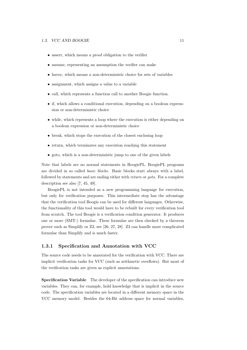#### 1.3. VCC AND BOOGIE 11

- assert, which means a proof obligation to the verifier
- assume, representing an assumption the verifier can make
- havoc, which means a non-deterministic choice for sets of variables
- assignment, which assigns a value to a variable
- call, which represents a function call to another Boogie function.
- if, which allows a conditional execution, depending on a boolean expresssion or non-deterministic choice
- while, which represents a loop where the execution is either depending on a boolean expression or non-deterministic choice
- break, which stops the execution of the closest enclosing loop
- return, which terminates any execution reaching this statement
- goto, which is a non-deterministic jump to one of the given labels

Note that labels are no normal statements in BoogiePL. BoogiePL programs are divided in so called basic blocks. Basic blocks start always with a label, followed by statements and are ending either with return or goto. For a complete description see also [\[7,](#page-75-1) [45,](#page-79-1) [49\]](#page-80-4).

BoogiePL is not intended as a new programming language for execution, but only for verification purposes. This intermediate step has the advantage that the verification tool Boogie can be used for different languages. Otherwise, the functionality of this tool would have to be rebuilt for every verification tool from scratch. The tool Boogie is a verification condition generator. It produces one or more (SMT-) formulae. These formulae are then checked by a theorem prover such as Simplify or Z3, see [\[26,](#page-78-2) [27,](#page-78-3) [28\]](#page-78-4). Z3 can handle more complicated formulae than Simplify and is much faster.

#### <span id="page-14-0"></span>1.3.1 Specification and Annotation with VCC

The source code needs to be annotated for the verification with VCC. There are implicit verification tasks for VCC (such as arithmetic overflows). But most of the verification tasks are given as explicit annotations.

Specification Variable The developer of the specification can introduce new variables. They can, for example, hold knowledge that is implicit in the source code. The specification variables are located in a different memory space in the VCC memory model. Besides the 64-Bit address space for normal variables,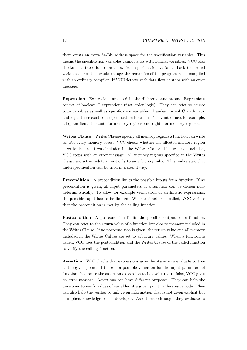there exists an extra 64-Bit address space for the specification variables. This means the specification variables cannot alias with normal variables. VCC also checks that there is no data flow from specification variables back to normal variables, since this would change the semantics of the program when compiled with an ordinary compiler. If VCC detects such data flow, it stops with an error message.

Expression Expressions are used in the different annotations. Expressions consist of boolean C expressions (first order logic). They can refer to source code variables as well as specification variables. Besides normal C arithmetic and logic, there exist some specification functions. They introduce, for example, all quantifiers, shortcuts for memory regions and rights for memory regions.

Writes Clause Writes Clauses specify all memory regions a function can write to. For every memory access, VCC checks whether the affected memory region is writable, i.e. it was included in the Writes Clause. If it was not included, VCC stops with an error message. All memory regions specified in the Writes Clause are set non-deterministicaly to an arbitrary value. This makes sure that underspecification can be used in a sound way.

**Precondition** A precondition limits the possible inputs for a function. If no precondition is given, all input parameters of a function can be chosen nondeterministically. To allow for example verification of arithmetic expressions, the possible input has to be limited. When a function is called, VCC verifies that the precondition is met by the calling function.

Postcondition A postcondition limits the possible outputs of a function. They can refer to the return value of a function but also to memory included in the Writes Clause. If no postcondition is given, the return value and all memory included in the Writes Caluse are set to arbitrary values. When a function is called, VCC uses the postcondition and the Writes Clause of the called function to verify the calling function.

Assertion VCC checks that expressions given by Assertions evaluate to true at the given point. If there is a possible valuation for the input paramters of function that cause the assertion expression to be evaluated to false, VCC gives an error message. Assertions can have different purposes. They can help the developer to verify values of variables at a given point in the source code. They can also help the verifier to link given information that is not given explicit but is implicit knowledge of the developer. Assertions (although they evaluate to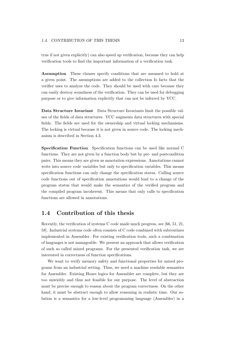true if not given explicitly) can also speed up verification, because they can help verification tools to find the important information of a verification task.

Assumption These clauses specify conditions that are assumed to hold at a given point. The assumptions are added to the collection fo facts that the verifier uses to analyze the code. They should be used with care because they can easily destroy soundness of the verification. They can be used for debugging purpose or to give information explicitly that can not be inferred by VCC.

Data Structure Invariant Data Structure Invariants limit the possible values of the fields of data structures. VCC augments data structures with special fields. The fields are used for the ownership and virtual locking mechanisms. The locking is virtual because it is not given in source code. The locking mechanism is described in Section [4.3.](#page-59-0)

Specification Function Specification functions can be used like normal C functions. They are not given by a function body but by pre- and postcondition pairs. This means they are given as annotation expressions. Annotations cannot write into source code variables but only to specification variables. This means specification functions can only change the specification status. Calling source code functions out of specification annotations would lead to a change of the program status that would make the semantics of the verified program and the compiled program incoherent. This means that only calls to specification functions are allowed in annotations.

# <span id="page-16-0"></span>1.4 Contribution of this thesis

Recently, the verification of systems C code made much progress, see [\[66,](#page-81-2) [51,](#page-80-5) [21,](#page-77-3) [58\]](#page-80-6). Industrial systems code often consists of C code combined with subroutines implemented in Assembler. For existing verification tools, such a combination of languages is not manageable. We present an approach that allows verification of such so called mixed programs. For the presented verification task, we are interested in correctness of function specifications.

We want to verify memory safety and functional properties for mixed programs from an industrial setting. Thus, we need a machine readable semantics for Assembler. Existing Hoare logics for Assembler are complete, but they are too unwieldy and thus not feasible for our purpose. The level of abstraction must be precise enough to reason about the program correctness. On the other hand, it must be abstract enough to allow reasoning in realistic time. Our solution is a semantics for a low-level programming language (Assembler) in a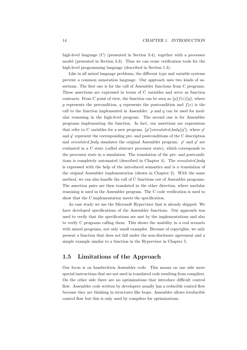high-level language (C) (presented in Section [3.4\)](#page-40-0), together with a processor model (presented in Section [3.3\)](#page-38-0). Thus we can reuse verification tools for the high-level programming language (described in Section [1.3\)](#page-12-0).

Like in all mixed language problems, the different type and variable systems prevent a common annotation language. Our approach uses two kinds of assertions. The first one is for the call of Assembler functions from C programs. These assertions are expressed in terms of C variables and serve as function contracts. From C point of view, the function can be seen as  ${p}{f(e)}{q}$ , where p represents the precondition, q represents the postcondition and  $f(e)$  is the call to the function implemented in Assembler.  $p$  and  $q$  can be used for modular reasoning in the high-level program. The second one is for Assembler programs implementing the function. In fact, our assertions are expressions that refer to C variables for a new program,  $\{p'\}\simulated\text{-}body\{q'\}\text{, where }p'$ and  $q'$  represent the corresponding pre- and postconditions of the C description and simulated body simulates the original Assembler program.  $p'$  and  $q'$  are evaluated in a C state (called abstract processor state), which corresponds to the processor state in a simulation. The translation of the pre- and postcondi-tions is completely automated (described in Chapter [4\)](#page-53-0). The simulated body is expressed with the help of the introduced semantics and is a translation of the original Assembler implementation (shown in Chapter [2\)](#page-23-0). With the same method, we can also handle the call of C functions out of Assembler programs. The assertion pairs are then translated in the other direction, where modular reasoning is used in the Assembler program. The C code verification is used to show that the C implementation meets the specification.

As case study we use the Microsoft Hypervisor that is already shipped. We have developed specifications of the Assembler functions. Our approach was used to verify that the specifications are met by the implementations and also to verify C programs calling them. This shows the usability in a real scenario with mixed programs, not only small examples. Because of copyrights, we only present a function that does not fall under the non-disclosure agreement and a simple example similar to a function in the Hypervisor in Chapter [5.](#page-62-0)

## <span id="page-17-0"></span>1.5 Limitations of the Approach

Our focus is on handwritten Assembler code. This means on one side more special instructions that are not used in translated code resulting from compilers. On the other side there are no optimizations that introduce difficult control flow. Assembler code written by developers usually has a reducible control flow because they are thinking in structures like loops. Assembler allows irreducible control flow but this is only used by compilers for optimizations.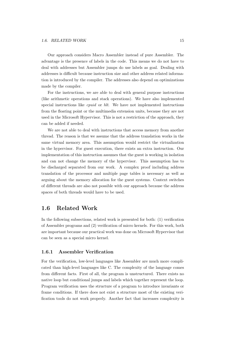Our approach considers Macro Assembler instead of pure Assembler. The advantage is the presence of labels in the code. This means we do not have to deal with addresses but Assembler jumps do use labels as goal. Dealing with addresses is difficult because instruction size and other address related information is introduced by the compiler. The addresses also depend on optimizations made by the compiler.

For the instructions, we are able to deal with general purpose instructions (like arithmetic operations and stack operations). We have also implemented special instructions like cpuid or hlt. We have not implemented instructions from the floating point or the multimedia extension units, because they are not used in the Microsoft Hypervisor. This is not a restriction of the approach, they can be added if needed.

We are not able to deal with instructions that access memory from another thread. The reason is that we assume that the address translation works in the same virtual memory area. This assumption would restrict the virtualization in the hypervisor. For guest execution, there exists an extra instruction. Our implementation of this instruction assumes that the guest is working in isolation and can not change the memory of the hypervisor. This assumption has to be discharged separated from our work. A complex proof including address translation of the processor and multiple page tables is necessary as well as arguing about the memory allocation for the guest systems. Context switches of different threads are also not possible with our approach because the address spaces of both threads would have to be used.

# <span id="page-18-0"></span>1.6 Related Work

In the following subsections, related work is presented for both: (1) verification of Assembler programs and (2) verification of micro kernels. For this work, both are important because our practical work was done on Microsoft Hypervisor that can be seen as a special micro kernel.

#### <span id="page-18-1"></span>1.6.1 Assembler Verification

For the verification, low-level languages like Assembler are much more complicated than high-level languages like C. The complexity of the language comes from different facts. First of all, the program is unstructured. There exists no native loop but conditional jumps and labels which together represent the loop. Program verification uses the structure of a program to introduce invariants or frame conditions. If there does not exist a structure most of the existing verification tools do not work properly. Another fact that increases complexity is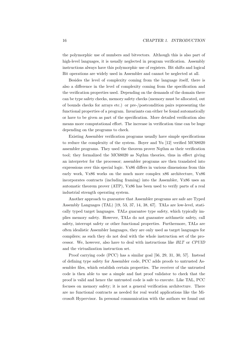the polymorphic use of numbers and bitvectors. Although this is also part of high-level languages, it is usually neglected in program verification. Assembly instructions always have this polymorphic use of registers. Bit shifts and logical Bit operations are widely used in Assembler and cannot be neglected at all.

Besides the level of complexity coming from the language itself, there is also a difference in the level of complexity coming from the specification and the verification properties used. Depending on the demands of the domain there can be type safety checks, memory safety checks (memory must be allocated, out of bounds checks for arrays etc.) or pre-/postcondition pairs representing the functional properties of a program. Invariants can either be found automatically or have to be given as part of the specification. More detailed verification also means more computational effort. The increase in verification time can be huge depending on the programs to check.

Existing Assembler verification programs usually have simple specifications to reduce the complexity of the system. Boyer and Yu [\[12\]](#page-76-5) verified MC68020 assembler programs. They used the theorem prover Nqthm as their verification tool; they formalized the MC68020 as Nqthm theories, thus in effect giving an interpreter for the processor; assembler programs are then translated into expressions over this special logic. Vx86 differs in various dimensions from this early work, Vx86 works on the much more complex x86 architecture, Vx86 incorporates contracts (including framing) into the Assembler, Vx86 uses an automatic theorem prover (ATP), Vx86 has been used to verify parts of a real industrial strength operating system.

Another approach to guarantee that Assembler programs are safe are Typed Assembly Languages (TAL) [\[19,](#page-77-4) [53,](#page-80-7) [37,](#page-79-2) [14,](#page-76-6) [38,](#page-79-3) [67\]](#page-81-3). TALs are low-level, statically typed target languages. TALs guarantee type safety, which typically implies memory safety. However, TALs do not guarantee arithmetic safety, call safety, interrupt safety or other functional properties. Furthermore, TALs are often idealistic Assembler languages, they are only used as target languages for compilers; as such they do not deal with the whole instruction set of the processor. We, however, also have to deal with instructions like HLT or CPUID and the virtualization instruction set.

Proof carrying code (PCC) has a similar goal [\[56,](#page-80-8) [29,](#page-78-5) [31,](#page-78-6) [30,](#page-78-7) [57\]](#page-80-9). Instead of defining type safety for Assembler code, PCC adds proofs to untrusted Assembler files, which establish certain properties. The receiver of the untrusted code is then able to use a simple and fast proof validator to check that the proof is valid and hence the untrusted code is safe to execute. Like TAL, PCC focuses on memory safety; it is not a general verification architecture. There are no functional contracts as needed for real world applications like the Microsoft Hypervisor. In personal communication with the authors we found out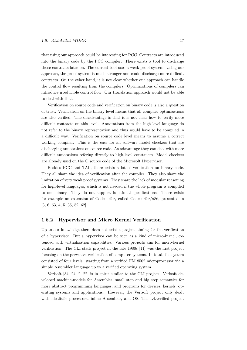that using our approach could be interesting for PCC. Contracts are introduced into the binary code by the PCC compiler. There exists a tool to discharge those contracts later on. The current tool uses a weak proof system. Using our approach, the proof system is much stronger and could discharge more difficult contracts. On the other hand, it is not clear whether our approach can handle the control flow resulting from the compilers. Optimizations of compilers can introduce irreducible control flow. Our translation approach would not be able to deal with that.

Verification on source code and verification on binary code is also a question of trust. Verification on the binary level means that all compiler optimizations are also verified. The disadvantage is that it is not clear how to verify more difficult contracts on this level. Annotations from the high-level language do not refer to the binary representation and thus would have to be compiled in a difficult way. Verification on source code level means to assume a correct working compiler. This is the case for all software model checkers that are discharging annotations on source code. As adavantage they can deal with more difficult annotations refering directly to high-level constructs. Model checkers are already used on the C source code of the Microsoft Hypervisor.

Besides PCC and TAL, there exists a lot of verification on binary code. They all share the idea of verification after the compiler. They also share the limitation of very weak proof systems. They share the lack of modular reasoning for high-level languages, which is not needed if the whole program is compiled to one binary. They do not support functional specifications. There exists for example an extension of Codesurfer, called Codesurfer/x86, presented in [\[3,](#page-75-2) [6,](#page-75-3) [63,](#page-81-4) [4,](#page-75-4) [5,](#page-75-5) [35,](#page-78-8) [52,](#page-80-10) [62\]](#page-81-5)

#### <span id="page-20-0"></span>1.6.2 Hypervisor and Micro Kernel Verification

Up to our knowledge there does not exist a project aiming for the verification of a hypervisor. But a hypervisor can be seen as a kind of micro-kernel, extended with virtualization capabilities. Various projects aim for micro-kernel verification. The CLI stack project in the late 1980s [\[11\]](#page-76-7) was the first project focusing on the pervasive verification of computer systems. In total, the system consisted of four levels: starting from a verified FM 8502 microprocessor via a simple Assembler language up to a verified operating system.

Verisoft [\[34,](#page-78-9) [24,](#page-77-5) [2,](#page-75-6) [22\]](#page-77-6) is in spirit similar to the CLI project. Verisoft developed machine-models for Assembler, small step and big step semantics for more abstract programming languages, and programs for devices, kernels, operating systems and applications. However, the Verisoft project only dealt with idealistic processors, inline Assembler, and OS. The L4.verified project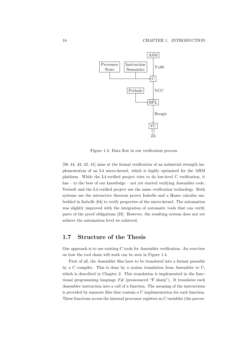

<span id="page-21-1"></span>Figure 1.4: Data flow in our verification process

[\[39,](#page-79-4) [44,](#page-79-5) [43,](#page-79-6) [42,](#page-79-7) [41\]](#page-79-8) aims at the formal verification of an industrial strength implementation of an L4 micro-kernel, which is highly optimized for the ARM platform. While the L4.verified project tries to do low-level C verification, it has – to the best of our knowledge – not yet started verifying Assembler code. Verisoft and the L4.verified project use the same verification technology. Both systems use the interactive theorem prover Isabelle and a Hoare calculus embedded in Isabelle [\[64\]](#page-81-6) to verify properties of the micro-kernel. The automation was slightly improved with the integration of automatic tools that can verify parts of the proof obligations [\[23\]](#page-77-7). However, the resulting system does not yet achieve the automation level we achieved.

## <span id="page-21-0"></span>1.7 Structure of the Thesis

Our approach is to use existing C tools for Assembler verification. An overview on how the tool chain will work can be seen in Figure [1.4.](#page-21-1)

First of all, the Assembler files have to be translated into a format parsable by a C compiler. This is done by a syntax translation from Assembler to C, which is described in Chapter [2.](#page-23-0) This translation is implemented in the functional programming language  $F#$  (pronounced "F sharp"). It translates each Assembler instruction into a call of a function. The meaning of the instructions is provided by separate files that contain a C implementation for each function. These functions access the internal processor registers as C variables (the proces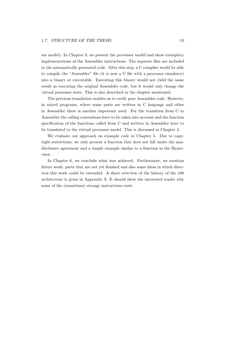sor model). In Chapter [3,](#page-31-0) we present the processor model and show exemplary implementations of the Assembler instructions. The separate files are included in the automatically generated code. After this step, a C compiler would be able to compile the "Assembler" file (it is now a C file with a processor simulator) into a binary or executable. Executing this binary would not yield the same result as executing the original Assembler code, but it would only change the virtual processor state. This is also described in the chapter mentioned.

The previous translation enables us to verify pure Assembler code. However, in mixed programs, where some parts are written in C language and other in Assembler there is another important need. For the transition from C to Assembler the calling conventions have to be taken into account and the function specification of the functions called from C and written in Assembler have to be translated to the virtual processor model. This is discussed in Chapter [4.](#page-53-0)

We evaluate our approach on example code in Chapter [5.](#page-62-0) Due to copyright restrictions, we only present a function that does not fall under the nondisclosure agreement and a simple example similar to a function in the Hypervisor.

In Chapter [6,](#page-72-0) we conclude what was achieved. Furthermore, we mention future work: parts that are not yet finished and also some ideas in which direction this work could be extended. A short overview of the history of the x86 architecture is given in Appendix [A.](#page-82-0) It should show the interested reader why some of the (sometimes) strange instructions exist.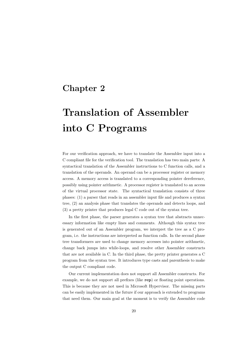# <span id="page-23-0"></span>Chapter 2

# Translation of Assembler into C Programs

For our verification approach, we have to translate the Assembler input into a C compliant file for the verification tool. The translation has two main parts: A syntactical translation of the Assembler instructions to C function calls, and a translation of the operands. An operand can be a processor register or memory access. A memory access is translated to a corresponding pointer dereference, possibly using pointer arithmetic. A processor register is translated to an access of the virtual processor state. The syntactical translation consists of three phases: (1) a parser that reads in an assembler input file and produces a syntax tree, (2) an analysis phase that translates the operands and detects loops, and (3) a pretty printer that produces legal C code out of the syntax tree.

In the first phase, the parser generates a syntax tree that abstracts unnecessary information like empty lines and comments. Although this syntax tree is generated out of an Assembler program, we interpret the tree as a C program, i.e. the instructions are interpreted as function calls. In the second phase tree transformers are used to change memory accesses into pointer arithmetic, change back jumps into while-loops, and resolve other Assembler constructs that are not available in C. In the third phase, the pretty printer generates a C program from the syntax tree. It introduces type casts and parenthesis to make the output C compliant code.

Our current implementation does not support all Assembler constructs. For example, we do not support all prefixes (like rep) or floating point operations. This is because they are not used in Microsoft Hypervisor. The missing parts can be easily implemented in the future if our approach is extended to programs that need them. Our main goal at the moment is to verify the Assembler code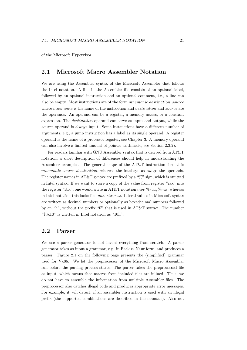of the Microsoft Hypervisor.

### <span id="page-24-0"></span>2.1 Microsoft Macro Assembler Notation

We are using the Assembler syntax of the Microsoft Assembler that follows the Intel notation. A line in the Assembler file consists of an optional label, followed by an optional instruction and an optional comment, i.e., a line can also be empty. Most instructions are of the form mnemonic destination, source where *mnemonic* is the name of the instruction and *destination* and *source* are the operands. An operand can be a register, a memory access, or a constant expression. The destination operand can serve as input and output, while the source operand is always input. Some instructions have a different number of arguments, e.g., a jump instruction has a label as its single operand. A register operand is the name of a processor register, see Chapter [3.](#page-31-0) A memory operand can also involve a limited amount of pointer arithmetic, see Section [2.3.2\)](#page-28-0).

For readers familiar with GNU Assembler syntax that is derived from AT&T notation, a short description of differences should help in understanding the Assembler examples. The general shape of the AT&T instruction format is mnemonic source, destination, whereas the Intel syntax swaps the operands. The register names in AT&T syntax are prefixed by a " $\%$ " sign, which is omitted in Intel syntax. If we want to store a copy of the value from register "rax" into the register "rbx", one would write in AT&T notation mov  $\%$ rax,  $\%$ rbx, whereas in Intel notation this looks like mov rbx, rax. Literal values in Microsoft syntax are written as decimal numbers or optionally as hexadecimal numbers followed by an "h", without the prefix "\$" that is used in AT&T syntax. The number "\$0x10" is written in Intel notation as "10h".

### <span id="page-24-1"></span>2.2 Parser

We use a parser generator to not invent everything from scratch. A parser generator takes as input a grammar, e.g. in Backus–Naur form, and produces a parser. Figure [2.1 on the following page](#page-25-0) presents the (simplified) grammar used for Vx86. We let the preprocessor of the Microsoft Macro Assembler run before the parsing process starts. The parser takes the preprocessed file as input, which means that macros from included files are inlined. Thus, we do not have to assemble the information from multiple Assembler files. The preprocessor also catches illegal code and produces appropriate error messages. For example, it will detect, if an assembler instruction is used with an illegal prefix (the supported combinations are described in the manuals). Also not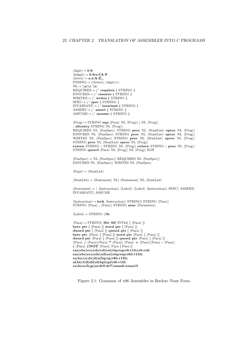$\langle \text{digit} \rangle \rightarrow 0-9$  $\langle \text{hdigit} \rangle \rightarrow 0-9|a-f|A-F$  $\langle\text{letter}\rangle\rightarrow\mathbf{a}\text{-}\mathbf{z}|\mathbf{A}\text{-}\mathbf{Z}|_{-}$  $STRING \rightarrow (\langle letter \rangle | \langle digit \rangle) +$  $NL \rightarrow \n\ln \r \in \n\mathbf{n}$  $REQUIRES \rightarrow ;$  requires ( STRING )  $ENSURES\rightarrow$ ; ensures (STRING)  $WRITES\rightarrow ;^*$  writes (STRING)  $SPEC \rightarrow ;$  spec (STRING)  $INVARIANT\rightarrow ;$  invariant ( STRING )  $ASSERT \rightarrow ;^*$  assert ( STRING )  $ASSUME\rightarrow$ ; assume ( STRING )

 $\langle Prog \rangle \rightarrow$  STRING equ  $\langle Para \rangle$  NL  $\langle Prog \rangle$  ; NL  $\langle Prog \rangle$ . altentry STRING NL  $\langle Prog \rangle$ REQUIRES NL (FunSpec) STRING proc NL (StmtList) eproc NL (Prog) ENSURES NL (FunSpec) STRING proc NL (StmtList) eproc NL  $\langle$ Prog)| WRITES NL  $\langle FunSpec \rangle$  STRING proc NL  $\langle$ StmtList $\rangle$  eproc NL  $\langle Prog \rangle$ STRING proc NL  $\langle$ StmtList $\rangle$  eproc NL  $\langle$ Prog $\rangle$ | extern STRING : STRING NL  $\langle Prog \rangle$  extern STRING : proc NL  $\langle Prog \rangle$ STRING qword  $\langle$ Para $\rangle$  NL  $\langle$ Prog $\rangle$ | NL  $\langle$ Prog $\rangle$ | EOF

 $\langle FunSpec \rangle \rightarrow NL \langle FunSpec \rangle | REQUIRES NL \langle FunSpec \rangle |$  $ENSURES NL$   $\langle FunSpec \rangle|$  WRITES NL  $\langle FunSpec \rangle$ 

 $\langle \text{Expr} \rangle \rightarrow \langle \text{StmtList} \rangle$ 

 $\langle$ StmtList $\rangle \rightarrow \langle$ Statement $\rangle$  NL  $\langle$ Statement $\rangle$  NL  $\langle$ StmtList $\rangle$ 

 $\langle Statement \rangle \rightarrow | \langle Instruction \rangle| \langle Label \rangle| \langle Label \rangle \langle Instruction \rangle| SPEC| ASSERT|$ INVARIANT| ASSUME

 $\langle$ Instruction $\rangle \rightarrow$  **lock**  $\langle$ Instruction $\rangle$ | STRING  $\langle$ Para $\rangle$ | STRING  $\langle$  Para $\rangle$ ,  $\langle$  Para $\rangle$ | STRING near  $\langle$  Parameter $\rangle$ 

 $\langle \text{Label} \rangle \rightarrow \text{STRING} : | \textcircled{a}:$ 

 $\langle$ Para $\rangle \rightarrow$  STRING| **@b| @f|** INT64| [  $\langle$ Para $\rangle$  ]| byte ptr  $[\langle \text{Para} \rangle]$  word ptr  $[\langle \text{Para} \rangle]$ dword ptr  $\left[\right.$  {Para}  $\left[\right.$  | qword ptr  $\left[\right.$  {Para}  $\left.\right]$ byte ptr  $\langle$ Para $\rangle$  [  $\langle$ Para $\rangle$  ]| word ptr  $\langle$ Para $\rangle$  [  $\langle$ Para $\rangle$  ]| dword ptr  $\langle$ Para $\rangle$  [  $\langle$ Para $\rangle$  ]| qword ptr  $\langle$ Para $\rangle$  [  $\langle$ Para $\rangle$  ]|  $\langle \text{Para} \rangle / \langle \text{Para} \rangle | \langle \text{Para} \rangle * \langle \text{Para} \rangle | \langle \text{Para} \rangle + \langle \text{Para} \rangle | \langle \text{Para} \rangle - \langle \text{Para} \rangle |$  $(\langle \text{Para} \rangle) |\text{NOT} \langle \text{Para} |$  Para [ Para ]| rax|rbx|rcx|rdx|rdi|rsi|rbp|rsp|r8-r15|cr0-cr8| eax|ebx|ecx|edx|edi|esi|ebp|esp|r8d-r15d| ax|bx|cx|dx|di|si|bp|sp|r8b-r15b| al|bl|cl|dl|dil|sil|bpl|spl|r8l-r15l| cs|ds|es|fs|gs|ss|dr0-dr7|xmm0-xmm15

<span id="page-25-0"></span>Figure 2.1: Grammar of x86 Assembler in Backus–Naur Form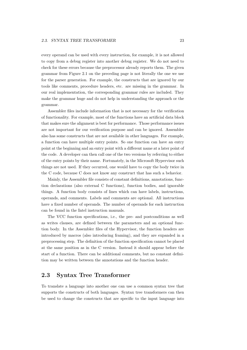every operand can be used with every instruction, for example, it is not allowed to copy from a debug register into another debug register. We do not need to check for these errors because the preprocessor already reports them. The given grammar from Figure [2.1 on the preceding page](#page-25-0) is not literally the one we use for the parser generation. For example, the constructs that are ignored by our tools like comments, procedure headers, etc. are missing in the grammar. In our real implementation, the corresponding grammar rules are included. They make the grammar huge and do not help in understanding the approach or the grammar.

Assembler files include information that is not necessary for the verification of functionality. For example, most of the functions have an artificial data block that makes sure the alignment is best for performance. Those performance issues are not important for our verification purpose and can be ignored. Assembler also has some constructs that are not available in other languages. For example, a function can have multiple entry points. So one function can have an entry point at the beginning and an entry point with a different name at a later point of the code. A developer can then call one of the two versions by referring to either of the entry points by their name. Fortunately, in the Microsoft Hypervisor such things are not used. If they occurred, one would have to copy the body twice in the C code, because C does not know any construct that has such a behavior.

Mainly, the Assembler file consists of constant definitions, annotations, function declarations (also external C functions), function bodies, and ignorable things. A function body consists of lines which can have labels, instructions, operands, and comments. Labels and comments are optional. All instructions have a fixed number of operands. The number of operands for each instruction can be found in the Intel instruction manuals.

The VCC function specifications, i.e., the pre- and postconditions as well as writes clauses, are defined between the parameters and an optional function body. In the Assembler files of the Hypervisor, the function headers are introduced by macros (also introducing framing), and they are expanded in a preprocessing step. The definition of the function specification cannot be placed at the same position as in the C version. Instead it should appear before the start of a function. There can be additional comments, but no constant definition may be written between the annotations and the function header.

## <span id="page-26-0"></span>2.3 Syntax Tree Transformer

To translate a language into another one can use a common syntax tree that supports the constructs of both languages. Syntax tree transformers can then be used to change the constructs that are specific to the input language into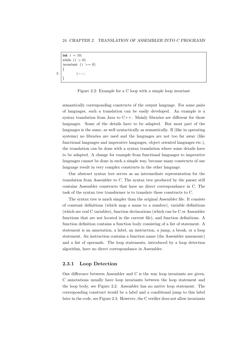```
int i = 10:
   while (i > 0)invariant (i >= 0){
5 i−−;
   }
```
<span id="page-27-1"></span>Figure 2.2: Example for a C loop with a simple loop invariant

semantically corresponding constructs of the output language. For some pairs of languages, such a translation can be easily developed. An example is a syntax translation from Java to  $C_{++}$ . Mainly libraries are different for those languages. Some of the details have to be adapted. But most part of the languages is the same, as well syntactically as semantically. If (like in operating systems) no libraries are used and the languages are not too far away (like functional languages and imperative languages, object oriented languages etc.), the translation can be done with a syntax translation where some details have to be adapted. A change for example from functional languages to imperative languages cannot be done in such a simple way, because many constructs of one language result in very complex constructs in the other language.

Our abstract syntax tree serves as an intermediate representation for the translation from Assembler to C. The syntax tree produced by the parser still contains Assembler constructs that have no direct correspondance in C. The task of the syntax tree transformer is to translate these constructs to C.

The syntax tree is much simpler than the original Assembler file. It consists of constant definitions (which map a name to a number), variable definitions (which are real C variables), function declarations (which can be C or Assembler functions that are not located in the current file), and function definitions. A function definition contains a function body consisting of a list of statement. A statement is an annotation, a label, an instruction, a jump, a break, or a loop statement. An instruction contains a function name (the Assembler mnemonic) and a list of operands. The loop statements, introduced by a loop detection algorithm, have no direct correspondance in Assembler.

#### <span id="page-27-0"></span>2.3.1 Loop Detection

One difference between Assembler and C is the way loop invariants are given. C annotations usually have loop invariants between the loop statement and the loop body, see Figure [2.2.](#page-27-1) Assembler has no native loop statement. The corresponding construct would be a label and a conditional jump to this label later in the code, see Figure [2.3.](#page-28-1) However, the C verifier does not allow invariants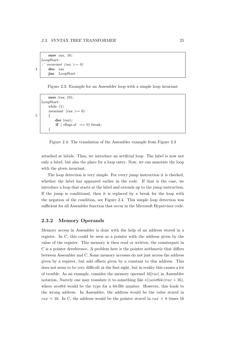```
mov rax, 10;
   LoopStart:
   ; ' invariant (rax >= 0)
4 dec rax
      jnz LoopStart
```
<span id="page-28-1"></span>Figure 2.3: Example for an Assembler loop with a simple loop invariant

```
mov (rax, 10);
   LoopStart:
       while (1)
       invariant (\text{tax} > = 0)5 {
            dec (rax);
            if ( rflags.zf == 0) break;
       }
```
<span id="page-28-2"></span>Figure 2.4: The translation of the Assembler example from Figure [2.3](#page-28-1)

attached at labels. Thus, we introduce an artificial loop. The label is now not only a label, but also the place for a loop entry. Now, we can annotate the loop with the given invariant.

The loop detection is very simple. For every jump instruction it is checked, whether the label has appeared earlier in the code. If that is the case, we introduce a loop that starts at the label and extends up to the jump instruction. If the jump is conditional, then it is replaced by a break for the loop with the negation of the condition, see Figure [2.4.](#page-28-2) This simple loop detection was sufficient for all Assembler function that occur in the Microsoft Hypervisor code.

### <span id="page-28-0"></span>2.3.2 Memory Operands

Memory access in Assembler is done with the help of an address stored in a register. In C, this could be seen as a pointer with the address given by the value of the register. This memory is then read or written, the counterpart in C is a pointer dereference. A problem here is the pointer arithmetic that differs between Assembler and C. Some memory accesses do not just access the address given by a register, but add offsets given by a constant to this address. This does not seem to be very difficult at the first sight, but in reality this causes a lot of trouble. As an example, consider the memory operand  $16[raz]$  in Assembler notation. Naively one may translate it to something like  $*( (uint64*)\, rax + 16),$ where *uint*64 would be the type for a 64-Bit number. However, this leads to the wrong address. In Assembler, the address would be the value stored in rax + 16. In C, the address would be the pointer stored in rax + 8 times 16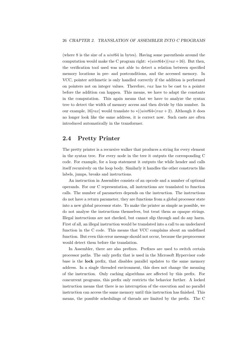(where 8 is the size of a uint64 in bytes). Having some parenthesis around the computation would make the C program right: \* $(i \cdot \text{int} 64*)(\text{r} a x+16)$ . But then, the verification tool used was not able to detect a relation between specified memory locations in pre- and postconditions, and the accessed memory. In VCC, pointer arithmetic is only handled correctly if the addition is performed on pointers not on integer values. Therefore, rax has to be cast to a pointer before the addition can happen. This means, we have to adapt the constants in the computation. This again means that we have to analyze the syntax tree to detect the width of memory access and then divide by this number. In our example,  $16[raz]$  would translate to  $*( (uint64*)\text{ra}x + 2)$ . Although it does no longer look like the same address, it is correct now. Such casts are often introduced automatically in the transformer.

## <span id="page-29-0"></span>2.4 Pretty Printer

The pretty printer is a recursive walker that produces a string for every element in the syntax tree. For every node in the tree it outputs the corresponding C code. For example, for a loop statement it outputs the while header and calls itself recursively on the loop body. Similarly it handles the other constructs like labels, jumps, breaks and instructions.

An instruction in Assembler consists of an opcode and a number of optional operands. For our C representation, all instructions are translated to function calls. The number of parameters depends on the instruction. The instructions do not have a return parameter, they are functions from a global processor state into a new global processor state. To make the printer as simple as possible, we do not analyse the instructions themselves, but treat them as opaque strings. Illegal instructions are not checked, but cannot slip through and do any harm. First of all, an illegal instruction would be translated into a call to an undeclared function in the C code. This means that VCC complains about an undefined function. But even this error message should not occur, because the preprocessor would detect them before the translation.

In Assembler, there are also prefixes. Prefixes are used to switch certain processor paths. The only prefix that is used in the Microsoft Hypervisor code base is the lock prefix, that disables parallel updates to the same memory address. In a single threaded environment, this does not change the meaning of the instruction. Only caching algorithms are affected by this prefix. For concurrent programs, this prefix only restricts the behavior further. A locked instruction means that there is no interruption of the execution and no parallel instruction can access the same memory until this instruction has finished. This means, the possible schedulings of threads are limited by the prefix. The C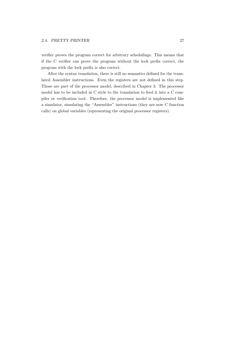verifier proves the program correct for arbitrary schedulings. This means that if the C verifier can prove the program without the lock prefix correct, the program with the lock prefix is also correct.

After the syntax translation, there is still no semantics defined for the translated Assembler instructions. Even the registers are not defined in this step. Those are part of the processor model, described in Chapter [3.](#page-31-0) The processor model has to be included in C style to the translation to feed it into a C compiler or verification tool. Therefore, the processor model is implemented like a simulator, simulating the "Assembler" instructions (they are now C function calls) on global variables (representing the original processor registers).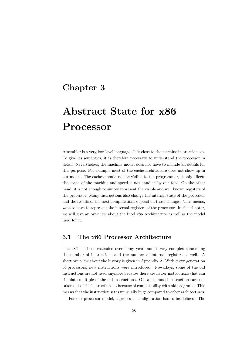# <span id="page-31-0"></span>Chapter 3

# Abstract State for x86 Processor

Assembler is a very low-level language. It is close to the machine instruction set. To give its semantics, it is therefore necessary to understand the processor in detail. Nevertheless, the machine model does not have to include all details for this purpose. For example most of the cache architecture does not show up in our model. The caches should not be visible to the programmer, it only affects the speed of the machine and speed is not handled by our tool. On the other hand, it is not enough to simply represent the visible and well known registers of the processor. Many instructions also change the internal state of the processor and the results of the next computations depend on those changes. This means, we also have to represent the internal registers of the processor. In this chapter, we will give an overview about the Intel x86 Architecture as well as the model used for it.

## <span id="page-31-1"></span>3.1 The x86 Processor Architecture

The x86 has been extended over many years and is very complex concerning the number of instructions and the number of internal registers as well. A short overview about the history is given in Appendix [A.](#page-82-0) With every generation of processors, new instructions were introduced. Nowadays, some of the old instructions are not used anymore because there are newer instructions that can simulate multiple of the old instructions. Old and unused instructions are not taken out of the instruction set because of compatibility with old programs. This means that the instruction set is unusually huge compared to other architectures.

For our processor model, a processor configuration has to be defined. The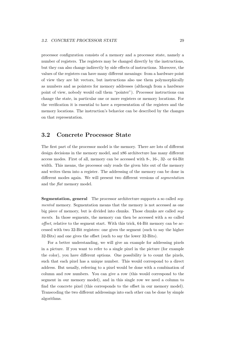processor configuration consists of a memory and a processor state, namely a number of registers. The registers may be changed directly by the instructions, but they can also change indirectly by side effects of instructions. Moreover, the values of the registers can have many different meanings: from a hardware point of view they are bit vectors, but instructions also use them polymorphically as numbers and as pointers for memory addresses (although from a hardware point of view, nobody would call them "pointer"). Processor instructions can change the state, in particular one or more registers or memory locations. For the verification it is essential to have a representation of the registers and the memory locations. The instruction's behavior can be described by the changes on that representation.

## <span id="page-32-0"></span>3.2 Concrete Processor State

The first part of the processor model is the memory. There are lots of different design decisions in the memory model, and x86 architecture has many different access modes. First of all, memory can be accessed with 8-, 16-, 32- or 64-Bit width. This means, the processor only reads the given bits out of the memory and writes them into a register. The addressing of the memory can be done in different modes again. We will present two different versions of segmentation and the flat memory model.

Segmentation, general The processor architecture supports a so called seqmented memory. Segmentation means that the memory is not accessed as one big piece of memory, but is divided into chunks. Those chunks are called segments. In those segments, the memory can then be accessed with a so called offset, relative to the segment start. With this trick, 64-Bit memory can be accessed with two 32-Bit registers: one gives the segment (such to say the higher 32-Bits) and one gives the offset (such to say the lower 32-Bits).

For a better understanding, we will give an example for addressing pixels in a picture. If you want to refer to a single pixel in the picture (for example the color), you have different options. One possibility is to count the pixels, such that each pixel has a unique number. This would correspond to a direct address. But usually, referring to a pixel would be done with a combination of column and row numbers. You can give a row (this would correspond to the segment in our memory model), and in this single row we need a column to find the concrete pixel (this corresponds to the offset in our memory model). Transcoding the two different addressings into each other can be done by simple algorithms.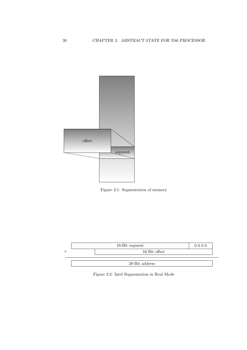

Figure 3.1: Segmentation of memory



<span id="page-33-0"></span>Figure 3.2: Intel Segmentation in Real Mode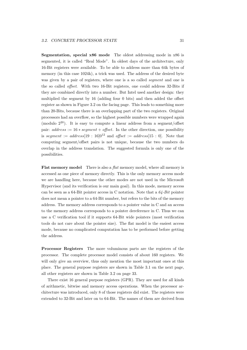Segmentation, special x86 mode The oldest addressing mode in x86 is segmented, it is called "Real Mode". In oldest days of the architecture, only 16-Bit registers were available. To be able to address more than 64k bytes of memory (in this case 1024k), a trick was used. The address of the desired byte was given by a pair of registers, where one is a so called *segment* and one is the so called offset. With two 16-Bit registers, one could address 32-Bits if they are combined directly into a number. But Intel used another design: they multiplied the segment by 16 (adding four 0 bits) and then added the offset register as shown in Figure [3.2 on the facing page.](#page-33-0) This leads to something more than 20-Bits, because there is an overlapping part of the two registers. Original processors had an overflow, so the highest possible numbers were wrapped again (modulo  $2^{20}$ ). It is easy to compute a linear address from a segment/offset pair:  $address := 16 * segment + offset$ . In the other direction, one possibility is segment := address[19 : 16]0<sup>12</sup> and offset := address[15 : 0]. Note that computing segment/offset pairs is not unique, because the two numbers do overlap in the address translation. The suggested formula is only one of the possibilities.

Flat memory model There is also a *flat* memory model, where all memory is accessed as one piece of memory directly. This is the only memory access mode we are handling here, because the other modes are not used in the Microsoft Hypervisor (and its verification is our main goal). In this mode, memory access can be seen as a 64-Bit pointer access in C notation. Note that a  $64$ -Bit pointer does not mean a pointer to a 64-Bit number, but refers to the bits of the memory address. The memory address corresponds to a pointer value in C and an access to the memory address corresponds to a pointer dereference in C. Thus we can use a C verification tool if it supports 64-Bit wide pointers (most verification tools do not care about the pointer size). The flat model is the easiest access mode, because no complicated computation has to be performed before getting the address.

Processor Registers The more voluminous parts are the registers of the processor. The complete processor model consists of about 160 registers. We will only give an overview, thus only mention the most important ones at this place. The general purpose registers are shown in Table [3.1 on the next page,](#page-35-0) all other registers are shown in Table [3.2 on page 33.](#page-36-1)

There exist 16 general purpose registers (GPR). They are used for all kinds of arithmetic, bitwise and memory access operations. When the processor architecture was introduced, only 8 of those registers did exist. The registers were extended to 32-Bit and later on to 64-Bit. The names of them are derived from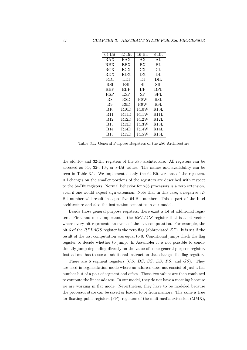| $64 - Bit$      | $32-Bit$    | $16 - Bit$  | 8-Bit       |
|-----------------|-------------|-------------|-------------|
| RAX             | <b>EAX</b>  | AX          | AL          |
| <b>RBX</b>      | EBX         | ВX          | BL          |
| RCX             | ECX         | CХ          | CL          |
| <b>RDX</b>      | EDX         | DX          | DL          |
| RDI             | EDI         | DI          | DIL         |
| RSI             | ESI         | SІ          | SIL         |
| <b>RBP</b>      | EBP         | BP          | BPL         |
| <b>RSP</b>      | ESP         | SP          | SPL         |
| R8              | R8D         | R8W         | R8L         |
| R9              | R9D         | R9W         | R9L         |
| R10             | R10D        | <b>R10W</b> | <b>R10L</b> |
| <b>R11</b>      | <b>R11D</b> | <b>R11W</b> | <b>R11L</b> |
| R12             | <b>R12D</b> | <b>R12W</b> | <b>R12L</b> |
| <b>R13</b>      | R13D        | R13W        | R13L        |
| R <sub>14</sub> | <b>R14D</b> | R14W        | R14L        |
| R15             | R15D        | R15W        | R15L        |

<span id="page-35-0"></span>Table 3.1: General Purpose Registers of the x86 Architecture

the old 16- and 32-Bit registers of the x86 architecture. All registers can be accessed as 64-, 32-, 16-, or 8-Bit values. The names and availability can be seen in Table [3.1.](#page-35-0) We implemented only the 64-Bit versions of the registers. All changes on the smaller portions of the registers are described with respect to the 64-Bit registers. Normal behavior for x86 processors is a zero extension, even if one would expect sign extension. Note that in this case, a negative 32- Bit number will result in a positive 64-Bit number. This is part of the Intel architecture and also the instruction semantics in our model.

Beside those general purpose registers, there exist a lot of additional registers. First and most important is the RF LAGS register that is a bit vector where every bit represents an event of the last computation. For example, the bit 6 of the RFLAGS register is the zero flag (abbreviated  $ZF$ ). It is set if the result of the last computation was equal to 0. Conditional jumps check the flag register to decide whether to jump. In Assembler it is not possible to conditionally jump depending directly on the value of some general purpose register. Instead one has to use an additional instruction that changes the flag regsiter.

There are 6 segment registers  $(CS, DS, SS, ES, FS, and GS)$ . They are used in segmentation mode where an address does not consist of just a flat number but of a pair of segment and offset. Those two values are then combined to compute the linear address. In our model, they do not have a meaning because we are working in flat mode. Nevertheless, they have to be modeled because the processor state can be saved or loaded to or from memory. The same is true for floating point registers (FP), registers of the multimedia extension (MMX),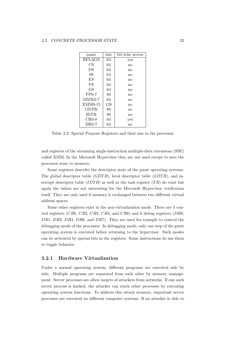| name          | size | bit-wise access |
|---------------|------|-----------------|
| <b>RFLAGS</b> | 64   | yes             |
| CS            | 64   | no              |
| DS            | 64   | no              |
| SS            | 64   | no              |
| ES.           | 64   | no              |
| FS            | 64   | no              |
| GS            | 64   | no              |
| $FP0-7$       | 80   | no              |
| $MMX0-7$      | 64   | no              |
| $XMM0-15$     | 128  | no              |
| GDTR.         | 80   | no              |
| <b>IDTR</b>   | 80   | no              |
| $CR0-8$       | 64   | yes             |
| $DR0-7$       | 64   | no              |

<span id="page-36-0"></span>Table 3.2: Special Purpose Registers and their size in the processor

and registers of the streaming single-instruction multiple-data extensions (SSE) called XMM. In the Microsoft Hypervisor they are not used except to save the processor state to memory.

Some registers describe the descriptor state of the guest operating systems. The global descriptor table  $(GDTR)$ , local descriptor table  $(LDTR)$ , and interrupt descriptor table  $(IDTR)$  as well as the task register  $(TR)$  do exist but again the values are not interesting for the Microsoft Hypervisor verification itself. They are only used if memory is exchanged between two different virtual address spaces.

Some other registers exist in the non-virtualization mode. There are 5 control registers (CR0, CR2, CR3, CR4, and CR8) and 6 debug registers (DR0, DR1, DR2, DR3, DR6, and DR7). They are used for example to control the debugging mode of the processor. In debugging mode, only one step of the guest operating system is executed before returning to the hypervisor. Such modes can be activated by special bits in the registers. Some instructions do use them to toggle behavior.

# 3.2.1 Hardware Virtualization

Under a normal operating system, different programs are executed side by side. Multiple programs are separated from each other by memory management. Server processes are often targets of attackers from networks. If one such server process is hacked, the attacker can reach other processes by executing operating system functions. To address this attack scenario, important server processes are executed on different computer systems. If an attacker is able to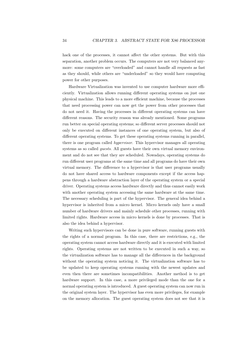hack one of the processes, it cannot affect the other systems. But with this separation, another problem occurs. The computers are not very balanced anymore: some computers are "overloaded" and cannot handle all requests as fast as they should, while others are "underloaded" so they would have computing power for other purposes.

Hardware Virtualization was invented to use computer hardware more efficiently. Virtualization allows running different operating systems on just one physical machine. This leads to a more efficient machine, because the processes that need processing power can now get the power from other processes that do not need it. Having the processes in different operating systems can have different reasons. The security reason was already mentioned. Some programs run better on special operating systems; so different server processes should not only be executed on different instances of one operating system, but also of different operating systems. To get these operating systems running in parallel, there is one program called hypervisor. This hypervisor manages all operating systems as so called *quests*. All guests have their own virtual memory environment and do not see that they are scheduled. Nowadays, operating systems do run different user programs at the same time and all programs do have their own virtual memory. The difference to a hypervisor is that user programs usually do not have shared access to hardware components except if the access happens through a hardware abstraction layer of the operating system or a special driver. Operating systems access hardware directly and thus cannot easily work with another operating system accessing the same hardware at the same time. The necessary scheduling is part of the hypervisor. The general idea behind a hypervisor is inherited from a micro kernel. Micro kernels only have a small number of hardware drivers and mainly schedule other processes, running with limited rights. Hardware access in micro kernels is done by processes. That is also the idea behind a hypervisor.

Writing such hypervisors can be done in pure software, running guests with the rights of a normal program. In this case, there are restrictions, e.g., the operating system cannot access hardware directly and it is executed with limited rights. Operating systems are not written to be executed in such a way, so the virtualization software has to manage all the differences in the background without the operating system noticing it. The virtualization software has to be updated to keep operating systems running with the newest updates and even then there are sometimes incompatibilities. Another method is to get hardware support. In this case, a more privileged mode than the one for a normal operating system is introduced. A guest operating system can now run in the original system layer. The hypervisor has even more privileges, for example on the memory allocation. The guest operating system does not see that it is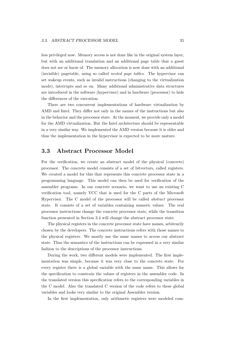less privileged now. Memory access is not done like in the original system layer, but with an additional translation and an additional page table that a guest does not see or know of. The memory allocation is now done with an additional (invisible) pagetable, using so called nested page tables. The hypervisor can set wakeup events, such as invalid instructions (changing to the virtualization mode), interrupts and so on. Many additional administrative data structures are introduced in the software (hypervisor) and in hardware (processor) to hide the differences of the execution.

There are two concurrent implementations of hardware virtualization by AMD and Intel. They differ not only in the names of the instructions but also in the behavior and the processor state. At the moment, we provide only a model for the AMD virtualization. But the Intel architecture should be representable in a very similar way. We implemented the AMD version because it is older and thus the implementation in the hypervisor is expected to be more mature.

# <span id="page-38-0"></span>3.3 Abstract Processor Model

For the verification, we create an abstract model of the physical (concrete) processor. The concrete model consists of a set of bitvectors, called registers. We created a model for this that represents this concrete processor state in a programming language. This model can then be used for verification of the assembler programs. In our concrete scenario, we want to use an existing C verification tool, namely VCC that is used for the C parts of the Microsoft Hypervisor. The C model of the processor will be called abstract processor state. It consists of a set of variables containing numeric values. The real processor instructions change the concrete processor state, while the transition function presented in Section [3.4](#page-40-0) will change the abstract processor state.

The physical registers in the concrete processor state have names, arbitrarily chosen by the developers. The concrete instructions refers with those names to the physical registers. We mostly use the same names to access our abstract state. Thus the semantics of the instructions can be expressed in a very similar fashion to the descriptions of the processor instructions.

During the work, two different models were implemented. The first implementation was simple, because it was very close to the concrete state. For every register there is a global variable with the same name. This allows for the specification to constrain the values of registers in the assembler code. In the translated version this specification refers to the corresponding variables in the C model. Also the translated C version of the code refers to these global variables and looks very similar to the original Assembler version.

In the first implementation, only arithmetic registers were modeled com-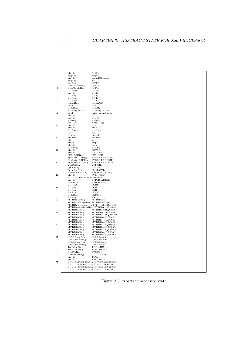| $\overline{2}$ | uint64<br>SegReg<br>uint64                    | $R[16]$ ;<br>SR[6];<br>kernelGSbase;                              |
|----------------|-----------------------------------------------|-------------------------------------------------------------------|
|                | SegReg<br>SegReg<br>DescTableReg              | TR;<br>LDTR;<br>GDTR;                                             |
| $\overline{7}$ | DescTableReg<br>CtlReg0                       | IDTR:<br>CR0;                                                     |
|                | uint64<br>CtlReg3<br>CtlReg4                  | CR2;<br>CR3;<br>CR4;                                              |
| 12             | CtlReg8<br>FlagsReg<br>bool<br>EFEReg         | CR8;<br>RFLAGS;<br>GIF;<br>EFER;                                  |
|                | ActivityState                                 | activity_state;                                                   |
| 17             | bool<br>uint08                                | interrupt_shadow;<br>CPL:                                         |
|                | uint64                                        | DR[8];                                                            |
|                | FPReg<br>uint128                              | FPR[8];<br>XMM[16];                                               |
| 22             | uint64                                        | RIP;                                                              |
|                | uint64                                        | oldRIP;                                                           |
|                | Prefixes<br>Rex                               | prefixes;<br>rex;                                                 |
|                | Opcode                                        | opcode;                                                           |
| 27             | ModRM                                         | modrm;                                                            |
|                | Sib<br>uint32                                 | sib;<br>disp;                                                     |
|                | uint64                                        | imm;                                                              |
| 32             | STAReg<br>uint64                              | STAR:<br>LSTAR:                                                   |
|                | uint64                                        | CSTAR:                                                            |
|                | SFMASKReg                                     | SFMASK;                                                           |
|                | SysEnterCSReg<br>SysEnterESPReg               | SYSENTER_CS;<br>SYSENTER_ESP;                                     |
| 37             | SysEnterEIPReg                                | SYSENTER_EIP;                                                     |
|                | VmCtlReg<br>IgnNeReg                          | $VM_CR;$<br>IGNNE:                                                |
|                | SimCtlReg                                     | SMM_CTL;                                                          |
|                | VmHSavePaReg                                  | VM_HSAVE_PA;                                                      |
| 42             | $\text{uint}64$<br>VirtualizationMode vtmode; | SVM_KEY;                                                          |
|                | uint64                                        | VMCB_ADDR;                                                        |
|                | VmcbCA<br>Ct1Reg0                             | VMCB_CA;<br>hCR0;                                                 |
| 47             | CtlReg3                                       | hCR3                                                              |
|                | CtlReg4                                       | hCR4;                                                             |
|                | PatReg<br>EFEReg                              | $h$ PAT;<br>hEFER;                                                |
|                | PatReg                                        | PAT:                                                              |
| 52             | MTRRcapReg<br>MTRRdefTypeReg MTRRdefType;     | MTRRcap;                                                          |
|                |                                               | MTRRphysBaseReg MTRRphysBase[8];                                  |
|                | MTRRfixReg                                    | MTRRphysMaskReg MTRRphysMask[8];<br>MTRRfix64K <sub>-00000;</sub> |
| 57             | MTRRfixReg                                    | MTRRfix16K_80000;                                                 |
|                | MTRRfixReg                                    | MTRRfix16K_A0000;                                                 |
|                | MTRRfixReg<br>MTRRfixReg                      | MTRRfix4K_C0000;<br>MTRRfix4K_C8000;                              |
|                | MTRRfixReg                                    | MTRRfix4K_D0000;                                                  |
| 62             | MTRRfixReg<br>MTRRfixReg                      | MTRRfix4K_D8000;<br>MTRRfix4K_E0000;                              |
|                | MTRRfixReg                                    | MTRRfix4K_E8000;                                                  |
|                | MTRRfixReg                                    | MTRRfix4K_F0000;                                                  |
| 67             | MTRRfixReg<br>IORRBaseReg                     | MTRRfix4K_F8000;<br>IORRBase0:                                    |
|                | IORRMaskReg                                   | IORRMask0:                                                        |
|                | IORRBaseReg<br>IORRMaskReg                    | IORRBase1;<br>IORRMask1;                                          |
|                | TopMemReg                                     | TOP_MEM1;                                                         |
| 72             | TopMemReg                                     | TOP_MEM2;                                                         |
|                | $_{\rm SysCfgReg}$<br>ApicBaseReg             | SYSCFG;<br>APIC_BASE;                                             |
|                | uint64                                        | TSC;                                                              |
| 77             | uint64                                        | TSC_AUX;<br>CPUID_00000000Reg CPUID_00000000;                     |
|                |                                               | CPUID_00000001Reg CPUID_00000001;                                 |
|                |                                               | CPUID_80000000Reg CPUID_80000000;                                 |
|                |                                               | CPUID_80000001Reg CPUID_80000001;                                 |

<span id="page-39-0"></span>Figure 3.3: Abstract processor state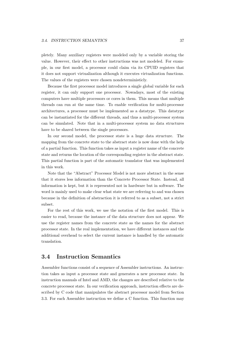pletely. Many auxiliary registers were modeled only by a variable storing the value. However, their effect to other instructions was not modeled. For example, in our first model, a processor could claim via its CPUID registers that it does not support virtualization although it executes virtualization functions. The values of the registers were chosen nondeterministicly.

Because the first processor model introduces a single global variable for each register, it can only support one processor. Nowadays, most of the existing computers have multiple processors or cores in them. This means that multiple threads can run at the same time. To enable verification for multi-processor architectures, a processor must be implemented as a datatype. This datatype can be instantiated for the different threads, and thus a multi-processor system can be simulated. Note that in a multi-processor system no data structures have to be shared between the single processors.

In our second model, the processor state is a huge data structure. The mapping from the concrete state to the abstract state is now done with the help of a partial function. This function takes as input a register name of the concrete state and returns the location of the corresponding register in the abstract state. This partial function is part of the automatic translator that was implemented in this work.

Note that the "Abstract" Processor Model is not more abstract in the sense that it stores less information than the Concrete Processor State. Instead, all information is kept, but it is represented not in hardware but in software. The word is mainly used to make clear what state we are referring to and was chosen because in the definition of abstraction it is referred to as a subset, not a strict subset.

For the rest of this work, we use the notation of the first model. This is easier to read, because the instance of the data structure does not appear. We use the register names from the concrete state as the names for the abstract processor state. In the real implementation, we have different instances and the additional overhead to select the current instance is handled by the automatic translation.

# <span id="page-40-0"></span>3.4 Instruction Semantics

Assembler functions consist of a sequence of Assembler instructions. An instruction takes as input a processor state and generates a new processor state. In instruction manuals of Intel and AMD, the changes are described relative to the concrete processor state. In our verification approach, instruction effects are described by C code that manipulates the abstract processor model from Section [3.3.](#page-38-0) For each Assembler instruction we define a C function. This function may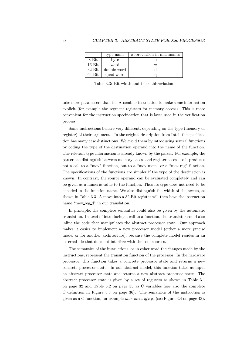|          | type name   | abbreviation in mnemonics |
|----------|-------------|---------------------------|
| 8 Bit    | byte        |                           |
| $16$ Bit | word        | w                         |
| $32$ Bit | double word |                           |
| $64$ Bit | quad word   |                           |

<span id="page-41-0"></span>Table 3.3: Bit width and their abbreviation

take more parameters than the Assembler instruction to make some information explicit (for example the segment registers for memory access). This is more convenient for the instruction specification that is later used in the verification process.

Some instructions behave very different, depending on the type (memory or register) of their arguments. In the original description from Intel, the specification has many case distinctions. We avoid them by introducing several functions by coding the type of the destination operand into the name of the function. The relevant type information is already known by the parser. For example, the parser can distinguish between memory access and register access, so it produces not a call to a "mov" function, but to a "mov\_mem" or a "mov\_reg" function. The specifications of the functions are simpler if the type of the destination is known. In contrast, the source operand can be evaluated completely and can be given as a numeric value to the function. Thus its type does not need to be encoded in the function name. We also distinguish the width of the access, as shown in Table [3.3.](#page-41-0) A move into a 32-Bit register will then have the instruction name "mov\_reg\_d" in our translation.

In principle, the complete semantics could also be given by the automatic translation. Instead of introducing a call to a function, the translator could also inline the code that manipulates the abstract processor state. Our approach makes it easier to implement a new processor model (either a more precise model or for another architecture), because the complete model resides in an external file that does not interfere with the tool sources.

The semantics of the instructions, or in other word the changes made by the instructions, represent the transition function of the processor. In the hardware processor, this function takes a concrete processor state and returns a new concrete processor state. In our abstract model, this function takes as input an abstract processor state and returns a new abstract processor state. The abstract processor state is given by a set of registers as shown in Table [3.1](#page-35-0) [on page 32](#page-35-0) and Table [3.2 on page 33](#page-36-0) as C variables (see also the complete C definition in Figure [3.3 on page 36\)](#page-39-0). The semantics of the instruction is given as a C function, for example  $mov_mem_q(x,y)$  (see Figure [3.4 on page 43\)](#page-46-0).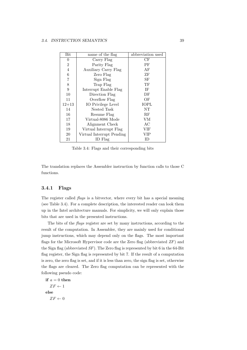| Bit            | name of the flag          | abbreviation used |
|----------------|---------------------------|-------------------|
| $\theta$       | Carry Flag                | CF                |
| $\overline{2}$ | Parity Flag               | РF                |
| $\overline{4}$ | Auxiliary Carry Flag      | AF                |
| 6              | Zero Flag                 | ΖF                |
| 7              | Sign Flag                 | SF                |
| 8              | Trap Flag                 | TF                |
| 9              | Interrupt Enable Flag     | ΙF                |
| 10             | Direction Flag            | DF                |
| 11             | Overflow Flag             | OF                |
| $12 + 13$      | IO Privilege Level        | <b>IOPL</b>       |
| 14             | Nested Task               | NT                |
| 16             | Resume Flag               | RF                |
| 17             | Virtual-8086 Mode         | VM                |
| 18             | Alignment Check           | AC                |
| 19             | Virtual Interrupt Flag    | VIF               |
| 20             | Virtual Interrupt Pending | VIP               |
| 21             | ID Flag                   | ID)               |

<span id="page-42-0"></span>Table 3.4: Flags and their corresponding bits

The translation replaces the Assembler instruction by function calls to those C functions.

### 3.4.1 Flags

The register called *flags* is a bitvector, where every bit has a special meaning (see Table [3.4\)](#page-42-0). For a complete description, the interested reader can look them up in the Intel architecture manuals. For simplicity, we will only explain those bits that are used in the presented instructions.

The bits of the flags register are set by many instructions, according to the result of the computation. In Assembler, they are mainly used for conditional jump instructions, which may depend only on the flags. The most important flags for the Microsoft Hypervisor code are the Zero flag (abbreviated  $ZF$ ) and the Sign flag (abbreviated  $SF$ ). The Zero flag is represented by bit 6 in the 64-Bit flag register, the Sign flag is represented by bit 7. If the result of a computation is zero, the zero flag is set, and if it is less than zero, the sign flag is set, otherwise the flags are cleared. The Zero flag computation can be represented with the following pseudo code:

if 
$$
a = 0
$$
 then  
\n
$$
ZF \leftarrow 1
$$
\nelse  
\n
$$
ZF \leftarrow 0
$$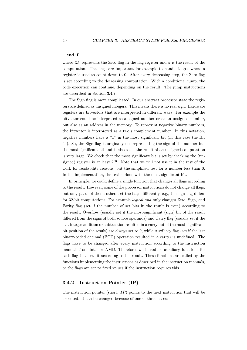#### end if

where  $ZF$  represents the Zero flag in the flag register and  $a$  is the result of the computation. The flags are important for example to handle loops, where a register is used to count down to 0. After every decreasing step, the Zero flag is set according to the decreasing computation. With a conditional jump, the code execution can continue, depending on the result. The jump instructions are described in Section [3.4.7.](#page-51-0)

The Sign flag is more complicated. In our abstract processor state the registers are defined as unsigned integers. This means there is no real sign. Hardware registers are bitvectors that are interpreted in different ways. For example the bitvector could be interpreted as a signed number or as an unsigned number, but also as an address in the memory. To represent negative binary numbers, the bitvector is interpreted as a two's complement number. In this notation, negative numbers have a "1" in the most significant bit (in this case the Bit 64). So, the Sign flag is originally not representing the sign of the number but the most significant bit and is also set if the result of an unsigned computation is very large. We check that the most significant bit is set by checking the (unsigned) register is at least  $2^{63}$ . Note that we will not use it in the rest of the work for readability reasons, but the simplified test for a number less than 0. In the implementation, the test is done with the most significant bit.

In principle, we could define a single function that changes all flags according to the result. However, some of the processor instructions do not change all flags, but only parts of them; others set the flags differently, e.g., the sign flag differs for 32-bit computations. For example logical and only changes Zero, Sign, and Parity flag (set if the number of set bits in the result is even) according to the result; Overflow (usually set if the most-significant (sign) bit of the result differed from the signs of both source operands) and Carry flag (usually set if the last integer addition or subtraction resulted in a carry out of the most-significant bit position of the result) are always set to 0, while Auxiliary flag (set if the last binary-coded decimal (BCD) operation resulted in a carry) is undefined. The flags have to be changed after every instruction according to the instruction manuals from Intel or AMD. Therefore, we introduce auxiliary functions for each flag that sets it according to the result. These functions are called by the functions implementing the instructions as described in the instruction manuals, or the flags are set to fixed values if the instruction requires this.

### <span id="page-43-0"></span>3.4.2 Instruction Pointer (IP)

The instruction pointer (short:  $IP$ ) points to the next instruction that will be executed. It can be changed because of one of three cases: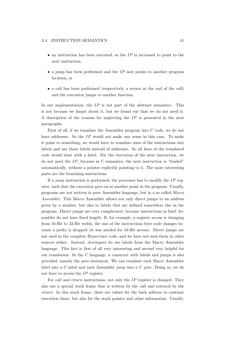- $\bullet$  an instruction has been executed, so the IP is increased to point to the next instruction,
- $\bullet$  a jump has been performed and the IP now points to another program location, or
- a call has been performed (respectively a return at the end of the call) and the execution jumps to another function.

In our implementation, the  $IP$  is not part of the abstract semantics. This is not because we forgot about it, but we found out that we do not need it. A description of the reasons for neglecting the IP is presented in the next paragraphs.

First of all, if we translate the Assembler program into C code, we do not have addresses. So the IP would not make any sense in this case. To make it point to something, we would have to translate sizes of the instructions into labels and use those labels instead of addresses. So all lines of the translated code would start with a label. For the execution of the next instruction, we do not need the IP, because in C semantics, the next instruction is "loaded" automatically, without a pointer explicitly pointing to it. The more interesting parts are the branching instructions.

If a jump instruction is performed, the processor has to modify the  $IP$  register, such that the execution goes on at another point in the program. Usually, programs are not written in pure Assembler language, but in a so called Macro Assembler. This Macro Assembler allows not only direct jumps to an address given by a number, but also to labels that are defined somewhere else in the program. Direct jumps are very complicated, because instructions in Intel Assembler do not have fixed length. If, for example, a register access is changing from 16-Bit to 32-Bit width, the size of the instructions byte code changes because a prefix is dropped (it was needed for 16-Bit access). Direct jumps are not used in the complete Hypervisor code, and we have not seen them in other sources either. Instead, developers do use labels from the Macro Assembler language. This fact is first of all very interesting and second very helpful for our translation. In the C language, a construct with labels and jumps is also provided, namely the goto statement. We can translate each Macro Assembler label into a C label and each Assembler jump into a C goto. Doing so, we do not have to access the IP register.

For call and return instructions, not only the IP register is changed. They also use a special stack frame that is written by the call and restored by the return. In this stack frame, there are values for the back address to continue execution there, but also for the stack pointer and other information. Usually,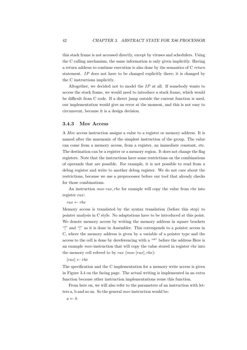this stack frame is not accessed directly, except by viruses and schedulers. Using the C calling mechanism, the same information is only given implicitly. Having a return address to continue execution is also done by the semantics of C return statement. IP does not have to be changed explicitly there; it is changed by the C instructions implicitly.

Altogether, we decided not to model the  $IP$  at all. If somebody wants to access the stack frame, we would need to introduce a stack frame, which would be difficult from C code. If a direct jump outside the current function is used, our implementation would give an error at the moment, and this is not easy to circumvent, because it is a design decision.

### 3.4.3 Mov Access

A Mov access instruction assigns a value to a register or memory address. It is named after the mnemonic of the simplest instruction of the group. The value can come from a memory access, from a register, an immediate constant, etc. The destination can be a register or a memory region. It does not change the flag registers. Note that the instructions have some restrictions on the combinations of operands that are possible. For example, it is not possible to read from a debug register and write to another debug register. We do not care about the restrictions, because we use a preprocessor before our tool that already checks for those combinations.

An instruction *mov* rax, rbx for example will copy the value from rbx into register rax:

#### $rax \leftarrow rbx$

Memory access is translated by the syntax translation (before this step) to pointer analysis in C style. No adaptations have to be introduced at this point. We denote memory access by writing the memory address in square brackets "[" and "]" as it is done in Assembler. This corresponds to a pointer access in C, where the memory address is given by a variable of a pointer type and the access to the cell is done by dereferencing with a "\*" before the address Here is an example mov-instruction that will copy the value stored in register  $rbx$  into the memory cell refered to by  $rax \ (mov \ [rax], rbx)$ :

 $[{}^{\mathit{rax}}] \leftarrow$ rbx

The specification and the C implementation for a memory write access is given in Figure [3.4 on the facing page.](#page-46-0) The actual writing is implemented in an extra function because other instruction implementations reuse this function.

From here on, we will also refer to the parameters of an instruction with letters a, b and so on. So the general mov instruction would be:

 $a \leftarrow b$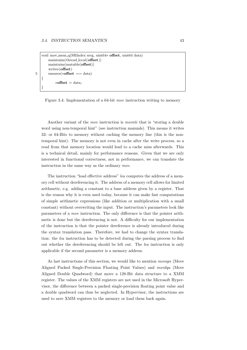```
void mov mem q(SRIndex sreg, uint64∗ offset, uint64 data)
       maintains(thread local(offset))
       maintains(mutable(offset))
       writes(offset)
5 ensures(*offset == data)
   {
           *offset = data:
   }
```
### <span id="page-46-0"></span>Figure 3.4: Implementation of a 64-bit mov instruction writing to memory

Another variant of the mov instruction is movnti that is "storing a double word using non-temporal hint" (see instruction manuals). This means it writes 32- or 64-Bits to memory without caching the memory line (this is the nontemporal hint). The memory is not even in cache after the write process, so a read from that memory location would lead to a cache miss afterwards. This is a technical detail, mainly for performance reasons. Given that we are only interested in functional correctness, not in performance, we can translate the instruction in the same way as the ordinary mov.

The instruction "load effective address" lea computes the address of a memory cell without dereferencing it. The address of a memory cell allows for limited arithmetic, e.g. adding a constant to a base address given by a register. That is the reason why it is even used today, because it can make fast computations of simple arithmetic expressions (like addition or multiplication with a small constant) without overwriting the input. The instruction's parameters look like parameters of a mov instruction. The only difference is that the pointer arithmetic is done but the dereferencing is not. A difficulty for our implementation of the instruction is that the pointer dereference is already introduced during the syntax translation pass. Therefore, we had to change the syntax translation: the lea instruction has to be detected during the parsing process to find out whether the dereferencing should be left out. The lea instruction is only applicable if the second parameter is a memory address.

As last instructions of this section, we would like to mention movaps (Move Aligned Packed Single-Precision Floating Point Values) and movdqa (Move Aligned Double Quadword) that move a 128-Bit data structure to a XMM register. The values of the XMM registers are not used in the Microsoft Hypervisor, the difference between a packed single-precision floating point value and a double quadword can thus be neglected. In Hypervisor, the instructions are used to save XMM registers to the memory or load them back again.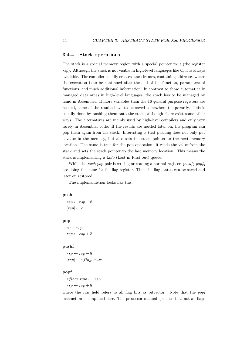### 3.4.4 Stack operations

The stack is a special memory region with a special pointer to it (the register rsp). Although the stack is not visible in high-level languages like C, it is always available. The compiler usually creates stack frames, containing addresses where the execution is to be continued after the end of the function, parameters of functions, and much additional information. In contrast to those automatically managed data areas in high-level languages, the stack has to be managed by hand in Assembler. If more variables than the 16 general purpose registers are needed, some of the results have to be saved somewhere temporarily. This is usually done by pushing them onto the stack, although there exist some other ways. The alternatives are mainly used by high-level compilers and only very rarely in Assembler code. If the results are needed later on, the program can pop them again from the stack. Interesting is that pushing does not only put a value in the memory, but also sets the stack pointer to the next memory location. The same is true for the pop operation: it reads the value from the stack and sets the stack pointer to the last memory location. This means the stack is implementing a LiFo (Last in First out) queue.

While the *push-pop* pair is writing or reading a normal register, *pushfq-popfq* are doing the same for the flag register. Thus the flag status can be saved and later on restored.

The implementation looks like this:

### push

 $rsp \leftarrow rsp - 8$  $[rsp] \leftarrow a$ 

### pop

 $a \leftarrow [rsp]$  $rsp \leftarrow rsp + 8$ 

### pushf

 $rsp \leftarrow rsp - 8$  $[rsp] \leftarrow rflags.raw$ 

### popf

 $rflagsraw \leftarrow [rsp]$  $rsp \leftarrow rsp + 8$ 

where the raw field refers to all flag bits as bitvector. Note that the popf instruction is simplified here. The processor manual specifies that not all flags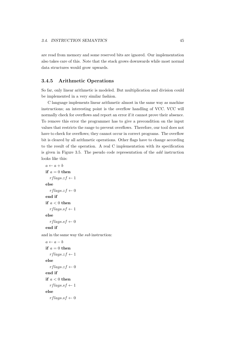are read from memory and some reserved bits are ignored. Our implementation also takes care of this. Note that the stack grows downwards while most normal data structures would grow upwards.

## 3.4.5 Arithmetic Operations

So far, only linear arithmetic is modeled. But multiplication and division could be implemented in a very similar fashion.

C language implements linear arithmetic almost in the same way as machine instructions; an interesting point is the overflow handling of VCC. VCC will normally check for overflows and report an error if it cannot prove their absence. To remove this error the programmer has to give a precondition on the input values that restricts the range to prevent overflows. Therefore, our tool does not have to check for overflows; they cannot occur in correct programs. The overflow bit is cleared by all arithmetic operations. Other flags have to change according to the result of the operation. A real C implementation with its specification is given in Figure [3.5.](#page-49-0) The pseudo code representation of the add instruction looks like this:

```
a \leftarrow a + bif a = 0 then
      rflags.zf \leftarrow 1else
      rflags.zf \leftarrow 0end if
   if a < 0 then
      rflags.sf \leftarrow 1else
      r \, \text{flags}.s \, \text{f} \leftarrow 0end if
and in the same way the sub instruction:
   a \leftarrow a - bif a = 0 then
      r \, \text{flags}. z \, \text{f} \leftarrow 1
```

```
else
   rflags.zf \leftarrow 0end if
if a < 0 then
   rflags.sf \leftarrow 1else
   r \, \text{flags}.s \, \text{f} \leftarrow 0
```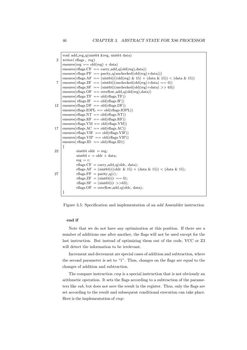```
void add_reg_q(uint64 &reg, uint64 data)
 2 writes (rflags, reg)
     ensures(reg == old(reg) + data)ensures(rflags.CF == carry.add_q(old(reg),data))ensures(rflags.PF == parity_q(unchexed(old(reg)+data)))ensures(rflags.AF == (\text{uint64})((\text{old}(\text{reg}) \& 15) + (\text{data} \& 15)) < (\text{data} \& 15))7 ensures(r\text{flags}.\text{ZF } == (\text{uint64})(\text{unchecked}(\text{old}(\text{reg})+\text{data}) == 0))ensures(r\text{flags}.\text{SF} == (uint64)(unchecked(old(reg) + data) >> 63))
     ensures(rflags.OF == overflow\_add_q(old(reg),data))ensures(rflags.TF == old(rflags.TF))ensures(r\text{flags.IF} == old(r\text{flags.IF}))
12 ensures(rflags.DF == old(rflags.DF))
     ensures(rflags.IOPL == old(rflags.IOPL))ensures(rflags.NT == old(rflags.NT))ensures(rflags.RF == old(rflags.RF))ensures(rflags.VM == old(rflags.VM))17 ensures(rflags.AC = old(rflags.AC))
     ensures(rflags.VIF) = old(rflags.VIF)ensures(rflags.VIP == old(rflags.VIP))ensures(rflags.ID == old(rflags.ID)){
22 | uint64 oldr = reg;
             uint64 r = oldr + data;
             reg = r;rflags.CF = carry\_add_q(oldr, data);rflags.AF = (\text{uint64})((\text{oldr} \& 15) + (\text{data} \& 15)) < (\text{data} \& 15);27 rflags. PF = parity q(r);
              r\text{flags.} ZF = (\text{uint}64)(r == 0);rflags.SF = (\text{uint64})(r \gt 63);
             rflags.OF = overflow\_add_q(oldr, data);}
```
<span id="page-49-0"></span>Figure 3.5: Specification and implementation of an add Assembler instruction

### end if

Note that we do not have any optimization at this position. If there are a number of additions one after another, the flags will not be used except for the last instruction. But instead of optimizing them out of the code, VCC or Z3 will detect the information to be irrelevant.

Increment and decrement are special cases of addition and subtraction, where the second parameter is set to "1". Thus, changes on the flags are equal to the changes of addition and subtraction.

The compare instruction cmp is a special instruction that is not obviously an arithmetic operation. It sets the flags according to a subtraction of the parameters like sub, but does not save the result in the register. Thus, only the flags are set according to the result and subsequent conditional execution can take place. Here is the implementation of cmp: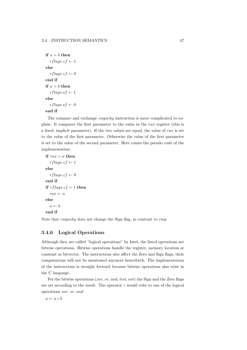```
if a = b then
   rflags.zf \leftarrow 1else
   rflags.zf \leftarrow 0end if
if a < b then
  rflags.sf \leftarrow 1else
   rflags.sf \leftarrow 0end if
```
The compare and exchange *cmpxchq* instruction is more complicated to explain. It compares the first parameter to the value in the rax register (this is a fixed, implicit parameter). If the two values are equal, the value of  $rax$  is set to the value of the first parameter. Otherwise the value of the first parameter is set to the value of the second parameter. Here comes the pseudo code of the implementation:

```
if \mathit{rax} = a then
   rflags.zf \leftarrow 1else
   rflags.zf \leftarrow 0end if
if r \, flags. z f = 1 then
   rax \leftarrow aelse
   a \leftarrow bend if
```
Note that cmpxchg does not change the Sign flag, in contrast to cmp.

# 3.4.6 Logical Operations

Although they are called "logical operations" by Intel, the listed operations are bitwise operations. Bitwise operations handle the register, memory location or constant as bitvector. The instructions also affect the Zero and Sign flags, their computations will not be mentioned anymore henceforth. The implementation of the instructions is straight forward because bitwise operations also exist in the C language.

For the bitwise operations (xor, or, and, test, not) the Sign and the Zero flags are set according to the result. The operator ◦ would refer to one of the logical operations xor, or, and:

 $a \leftarrow a \circ b$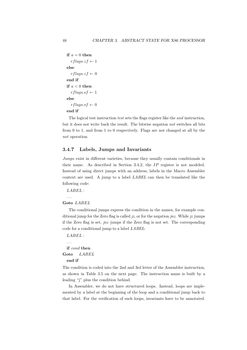```
if a = 0 then
   rflags.zf \leftarrow 1else
   rflags.zf \leftarrow 0end if
if a < 0 then
   rflags.sf \leftarrow 1else
   rflags.sf \leftarrow 0end if
```
The logical test instruction test sets the flags register like the and instruction, but it does not write back the result. The bitwise negation not switches all bits from 0 to 1, and from 1 to 0 respectively. Flags are not changed at all by the not operation.

# <span id="page-51-0"></span>3.4.7 Labels, Jumps and Invariants

Jumps exist in different varieties, because they usually contain conditionals in their name. As described in Section [3.4.2,](#page-43-0) the IP register is not modeled. Instead of using direct jumps with an address, labels in the Macro Assembler context are used. A jump to a label LABEL can then be translated like the following code:

```
LABEL :
```

```
. . .
```
### Goto LABEL

The conditional jumps express the condition in the names, for example conditional jump for the Zero flag is called  $jz$ , or for the negation  $jnz$ . While  $jz$  jumps if the Zero flag is set,  $jnz$  jumps if the Zero flag is not set. The corresponding code for a conditional jump to a label LABEL:

```
LABEL :
 . . .
 if cond then
Goto LABEL
 end if
```
The condition is coded into the 2nd and 3rd letter of the Assembler instruction, as shown in Table [3.5 on the next page.](#page-52-0) The instruction name is built by a leading "j" plus the condition behind.

In Assembler, we do not have structured loops. Instead, loops are implemented by a label at the beginning of the loop and a conditional jump back to that label. For the verification of such loops, invariants have to be annotated.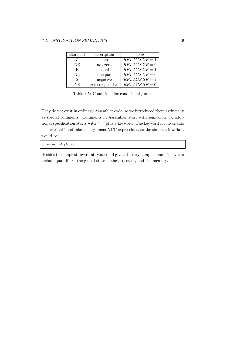| short cut | description      | cond             |
|-----------|------------------|------------------|
| Z         | zero             | $RFLAGS,ZF=1$    |
| NZ.       | not zero         | $RFLAGS \n� = 0$ |
| E,        | equal            | $RFLAGS.ZF = 1$  |
| NE.       | unequal          | $RFLAGS \n� = 0$ |
| S         | negative         | $RFLAGS. SF = 1$ |
| NS        | zero or positive | $RFLAGS.SF = 0$  |

<span id="page-52-0"></span>Table 3.5: Conditions for conditional jumps

They do not exist in ordinary Assembler code, so we introduced them artificially as special comments. Comments in Assembler start with semicolon (;), additional specification starts with ";^" plus a keyword. The keyword for invariants is "invariant" and takes as argument VCC expressions, so the simplest invariant would be:

;ˆ invariant (true)

Besides the simplest invariant, you could give arbitrary complex ones. They can include quantifiers, the global state of the processor, and the memory.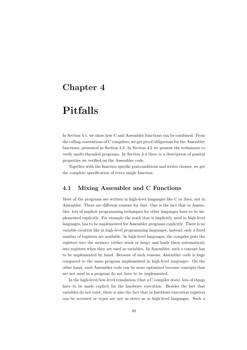# Chapter 4

# Pitfalls

In Section [4.1,](#page-53-0) we show how C and Assembler functions can be combined. From the calling conventions of C compilers, we get proof obligations for the Assembler functions, presented in Section [4.2.](#page-55-0) In Section [4.3](#page-59-0) we present the techniques to verify multi-threaded programs. In Section [4.4](#page-60-0) there is a description of general properties we verified on the Assembler code.

Together with the function specific postconditions and writes clauses, we get the complete specification of every single function.

# <span id="page-53-0"></span>4.1 Mixing Assembler and C Functions

Most of the programs are written in high-level languages like C or Java, not in Assembler. There are different reasons for that. One is the fact that in Assembler, lots of implicit programming techniques for other languages have to be implemented explicitly. For example the stack that is implicitly used in high-level languages, has to be implemented for Assembler programs explicitly. There is no variable creation like in high-level programming languages, instead, only a fixed number of registers are available. In high-level languages, the compiler puts the registers into the memory (either stack or heap) and loads them automaticaly into registers when they are used as variables. In Assembler, such a concept has to be implemented by hand. Because of such reasons, Assembler code is huge compared to the same program implemented in high-level languages. On the other hand, such Assembler code can be more optimized because concepts that are not used in a program do not have to be implemented.

In the high-level/low-level translation (that a C compiler does), lots of things have to be made explicit for the hardware execution. Besides the fact that variables do not exist, there is also the fact that in hardware execution registers can be accessed or types are not as strict as in high-level languages. Such a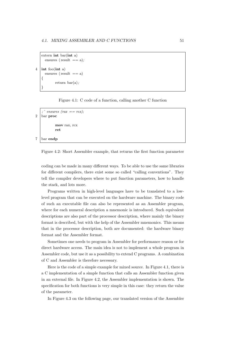```
extern int bar(int a)
 ensures (result == a);
```

```
4 \mid \text{int } \text{foo}(\text{int } a)
```
{

}

ensures ( $result == a$ ) return  $bar(a)$ ;

<span id="page-54-0"></span>Figure 4.1: C code of a function, calling another C function

```
; \hat{r} ensures (rax == rcx);
2 bar proc
            mov rax, rcx
            ret
```
7 bar endp

<span id="page-54-1"></span>Figure 4.2: Short Assembler example, that returns the first function parameter

coding can be made in many different ways. To be able to use the same libraries for different compilers, there exist some so called "calling conventions". They tell the compiler developers where to put function parameters, how to handle the stack, and lots more.

Programs written in high-level languages have to be translated to a lowlevel program that can be executed on the hardware machine. The binary code of such an executable file can also be represented as an Assembler program, where for each numeral description a mnemonic is introduced. Such equivalent descriptions are also part of the processor description, where mainly the binary format is described, but with the help of the Assembler mnemonics. This means that in the processor description, both are documented: the hardware binary format and the Assembler format.

Sometimes one needs to program in Assembler for performance reason or for direct hardware access. The main idea is not to implement a whole program in Assembler code, but use it as a possibility to extend C programs. A combination of C and Assembler is therefore necessary.

Here is the code of a simple example for mixed source. In Figure [4.1,](#page-54-0) there is a C implementation of a simple function that calls an Assembler function given in an external file. In Figure [4.2,](#page-54-1) the Assembler implementation is shown. The specification for both functions is very simple in this case: they return the value of the parameter.

In Figure [4.3 on the following page,](#page-55-1) our translated version of the Assembler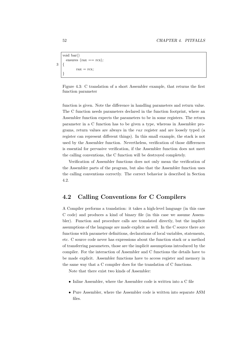```
void bar()
         ensures (\text{tax} == \text{rcx});
3 {
                   \text{rax} = \text{rcx};}
```
<span id="page-55-1"></span>Figure 4.3: C translation of a short Assembler example, that returns the first function parameter

function is given. Note the difference in handling parameters and return value. The C function needs parameters declared in the function footprint, where an Assembler function expects the parameters to be in some registers. The return parameter in a C function has to be given a type, whereas in Assembler programs, return values are always in the rax register and are loosely typed (a register can represent different things). In this small example, the stack is not used by the Assembler function. Nevertheless, verification of those differences is essential for pervasive verification, if the Assembler function does not meet the calling conventions, the C function will be destroyed completely.

Verification of Assembler functions does not only mean the verification of the Assembler parts of the program, but also that the Assembler function uses the calling conventions correctly. The correct behavior is described in Section [4.2.](#page-55-0)

# <span id="page-55-0"></span>4.2 Calling Conventions for C Compilers

A Compiler performs a translation: it takes a high-level language (in this case C code) and produces a kind of binary file (in this case we assume Assembler). Function and procedure calls are translated directly, but the implicit assumptions of the language are made explicit as well. In the C source there are functions with parameter definitions, declarations of local variables, statements, etc. C source code never has expressions about the function stack or a method of transferring parameters, those are the implicit assumptions introduced by the compiler. For the interaction of Assembler and C functions the details have to be made explicit. Assembler functions have to access register and memory in the same way that a C compiler does for the translation of C functions.

Note that there exist two kinds of Assembler:

- Inline Assembler, where the Assembler code is written into a C file
- Pure Assembler, where the Assembler code is written into separate ASM files.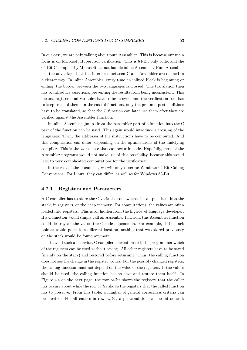In our case, we are only talking about pure Assembler. This is because our main focus is on Microsoft Hypervisor verification. This is 64-Bit only code, and the 64-Bit C compiler by Microsoft cannot handle inline Assembler. Pure Assembler has the advantage that the interfaces between C and Assembler are defined in a clearer way. In inline Assembler, every time an inlined block is beginning or ending, the border between the two languages is crossed. The translation then has to introduce assertions, preventing the results from being inconsistent. This means, registers and variables have to be in sync, and the verification tool has to keep track of them. In the case of functions, only the pre- and postconditions have to be translated, so that the C function can later use them after they are verified against the Assembler function.

In inline Assembler, jumps from the Assembler part of a function into the C part of the function can be used. This again would introduce a crossing of the languages. Then, the addresses of the instructions have to be computed. And this computation can differ, depending on the optimizations of the undelying compiler. This is the worst case that can occur in code. Hopefully, most of the Assembler programs would not make use of this possibility, because this would lead to very complicated computations for the verification.

In the rest of the document, we will only describe Windows 64-Bit Calling Conventions. For Linux, they can differ, as well as for Windows 32-Bit.

### 4.2.1 Registers and Parameters

A C compiler has to store the C variables somewhere. It can put them into the stack, in registers, or the heap memory. For computations, the values are often loaded into registers. This is all hidden from the high-level language developer. If a C function would simply call an Assembler function, this Assembler function could destroy all the values the C code depends on. For example, if the stack pointer would point to a different location, nothing that was stored previously on the stack would be found anymore.

To avoid such a behavior, C compiler conventions tell the programmer which of the registers can be used without saving. All other registers have to be saved (mainly on the stack) and restored before returning. Thus, the calling function does not see the change in the register values. For the possibly changed registers, the calling function must not depend on the value of the registers. If the values should be used, the calling function has to save and restore them itself. In Figure [4.4 on the next page,](#page-57-0) the row caller shows the registers that the caller has to care about while the row callee shows the registers that the called function has to preserve. From this table, a number of general correctness criteria can be created. For all entries in row callee, a postcondition can be introduced: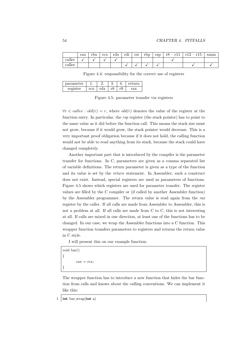|        | rax | rhv<br>T nv | rev<br>TCV | rdx | . .<br>rdi<br>1 U.I | rs1 | rbp | rsp | rŏ<br>$\mathbf{r}$ | r15<br>$\mathbf{r}$ 19 | xmm |
|--------|-----|-------------|------------|-----|---------------------|-----|-----|-----|--------------------|------------------------|-----|
| caller |     |             |            |     |                     |     |     |     |                    |                        |     |
| callee |     |             |            |     |                     |     |     |     |                    |                        |     |

<span id="page-57-0"></span>Figure 4.4: responsibility for the correct use of registers

| parameter |     |     | IJ. |    | return |
|-----------|-----|-----|-----|----|--------|
| register  | rcx | rdx |     | r9 | rax    |

<span id="page-57-1"></span>Figure 4.5: parameter transfer via registers

 $\forall r \in \text{callee}: old(r) = r$ , where  $old(r)$  denotes the value of the register at the function entry. In particular, the rsp register (the stack pointer) has to point to the same value as it did before the function call. This means the stack size must not grow, because if it would grow, the stack pointer would decrease. This is a very important proof obligation because if it does not hold, the calling function would not be able to read anything from its stack, because the stack could have changed completely.

Another important part that is introduced by the compiler is the parameter transfer for functions. In C, parameters are given as a comma separated list of variable definitions. The return parameter is given as a type of the function and its value is set by the return statement. In Assembler, such a construct does not exist. Instead, special registers are used as parameters of functions. Figure [4.5](#page-57-1) shows which registers are used for parameter transfer. The register values are filled by the C compiler or (if called by another Assembler function) by the Assembler programmer. The return value is read again from the  $\eta$ register by the caller. If all calls are made from Assembler to Assembler, this is not a problem at all. If all calls are made from C to C, this is not interesting at all. If calls are mixed in one direction, at least one of the functions has to be changed. In our case, we wrap the Assembler functions into a C function. This wrapper function transfers parameters to registers and returns the return value in C style.

I will present this on our example function:

void bar() {  $\text{rax} = \text{rcx}$ }

The wrapper function has to introduce a new function that hides the bar function from calls and knows about the calling conventions. We can implement it like this:

1 int bar wrap(int a)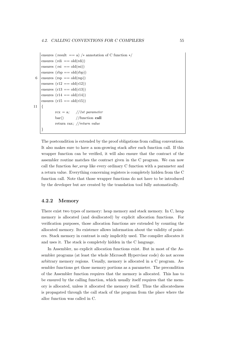```
ensures (result == a) /* annotation of C function */ensures (rdi == old(rdi))ensures (rsi == old(rsi))
    ensures (rbp == old(rbp))6 | ensures (rsp = old(rsp))
    ensures (r12 == old(r12))ensures (r13 == old(r13))ensures (r14 == old(r14))ensures (r15 == old(r15))11 |rcx = a; //1st parameter
            bar() //function call
            return rax; //return value
    }
```
The postcondition is extended by the proof obligations from calling conventions. It also makes sure to have a non-growing stack after each function call. If this wrapper function can be verified, it will also ensure that the contract of the assembler routine matches the contract given in the C program. We can now call the function bar wrap like every ordinary C function with a parameter and a return value. Everything concerning registers is completely hidden from the C function call. Note that those wrapper functions do not have to be introduced by the developer but are created by the translation tool fully automatically.

### 4.2.2 Memory

There exist two types of memory: heap memory and stack memory. In C, heap memory is allocated (and deallocated) by explicit allocation functions. For verification purposes, those allocation functions are extended by counting the allocated memory. Its existence allows information about the validity of pointers. Stack memory in contrast is only implicitly used. The compiler allocates it and uses it. The stack is completely hidden in the C language.

In Assembler, no explicit allocation functions exist. But in most of the Assembler programs (at least the whole Microsoft Hypervisor code) do not access arbitrary memory regions. Usually, memory is allocated in a C program. Assembler functions get those memory portions as a parameter. The precondition of the Assembler function requires that the memory is allocated. This has to be ensured by the calling function, which usually itself requires that the memory is allocated, unless it allocated the memory itself. Thus the allocatedness is propagated through the call stack of the program from the place where the alloc function was called in C.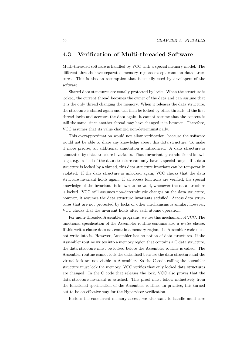# <span id="page-59-0"></span>4.3 Verification of Multi-threaded Software

Multi-threaded software is handled by VCC with a special memory model. The different threads have separated memory regions except common data structures. This is also an assumption that is usually used by developers of the software.

Shared data structures are usually protected by locks. When the structure is locked, the current thread becomes the owner of the data and can assume that it is the only thread changing the memory. When it releases the data structure, the structure is shared again and can then be locked by other threads. If the first thread locks and accesses the data again, it cannot assume that the content is still the same, since another thread may have changed it in between. Therefore, VCC assumes that its value changed non-deterministically.

This overapproximation would not allow verification, because the software would not be able to share any knowledge about this data structure. To make it more precise, an additional annotation is introduced. A data structure is annotated by data structure invariants. Those invariants give additional knowledge, e.g., a field of the data structure can only have a special range. If a data structure is locked by a thread, this data structure invariant can be temporarily violated. If the data structure is unlocked again, VCC checks that the data structure invariant holds again. If all access functions are verified, the special knowledge of the invariants is known to be valid, whenever the data structure is locked. VCC still assumes non-deterministic changes on the data structure, however, it assumes the data structure invariants satisfied. Access data structures that are not protected by locks or other mechanisms is similar, however, VCC checks that the invariant holds after each atomic operation.

For multi-threaded Assembler programs, we use this mechanism of VCC. The functional specification of the Assembler routine contains also a writes clause. If this writes clause does not contain a memory region, the Assembler code must not write into it. However, Assembler has no notion of data structures. If the Assembler routine writes into a memory region that contains a C data structure, the data structure must be locked before the Assembler routine is called. The Assembler routine cannot lock the data itself because the data structure and the virtual lock are not visible in Assembler. So the C code calling the assembler structure must lock the memory. VCC verifies that only locked data structures are changed. In the C code that releases the lock, VCC also proves that the data structure invariant is satisfied. This proof must follow inductively from the functional specification of the Assembler routine. In practice, this turned out to be an effective way for the Hypervisor verification.

Besides the concurrent memory access, we also want to handle multi-core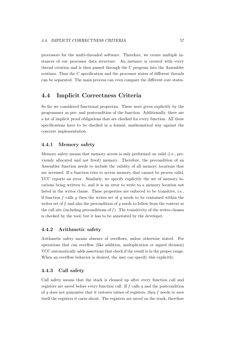processors for the multi-threaded software. Therefore, we create multiple instances of our processor data structure. An instance is created with every thread creation and is then passed through the C program into the Assembler routines. Thus the C specification and the processor states of different threads can be separated. The main process can even compare the different core states.

# <span id="page-60-0"></span>4.4 Implicit Correctness Criteria

So far we considered functional properties. These were given explicitly by the programmer as pre- and postcondition of the function. Additionally, there are a lot of implicit proof obligations that are checked for every function. All these specifications have to be checked in a formal, mathematical way against the concrete implementation.

### 4.4.1 Memory safety

Memory safety means that memory access is only performed on valid (i.e., previously allocated and not freed) memory. Therefore, the precondition of an Assembler function needs to include the validity of all memory locations that are accessed. If a function tries to access memory that cannot be proven valid, VCC reports an error. Similarly, we specify explicitly the set of memory locations being written to, and it is an error to write to a memory location not listed in the writes clause. These properties are enforced to be transitive, i.e., if function  $f$  calls  $g$  then the writes set of  $g$  needs to be contained within the writes set of f, and also the precondition of  $q$  needs to follow from the context at the call site (including preconditions of  $f$ ). The transitivity of the writes clauses is checked by the tool, but it has to be annotated by the developer.

# 4.4.2 Arithmetic safety

Arithmetic safety means absence of overflows, unless otherwise stated. For operations that can overflow (like addition, multiplication or signed division) VCC automatically adds assertions that check if the result is in the proper range. When an overflow behavior is desired, the user can specify this explicitly.

### 4.4.3 Call safety

Call safety means that the stack is cleaned up after every function call and registers are saved before every function call. If  $f$  calls  $g$  and the postcondition of  $g$  does not guarantee that it restores values of registers, then  $f$  needs to save itself the registers it cares about. The registers are saved on the stack, therefore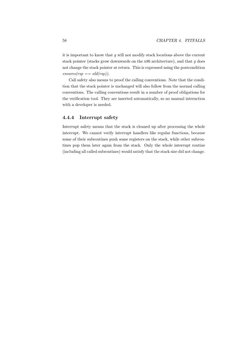it is important to know that  $g$  will not modify stack locations above the current stack pointer (stacks grow downwards on the  $x86$  architecture), and that  $g$  does not change the stack pointer at return. This is expressed using the postcondition  $ensures(rsp == old(rsp)).$ 

Call safety also means to proof the calling conventions. Note that the condition that the stack pointer is unchanged will also follow from the normal calling conventions. The calling conventions result in a number of proof obligations for the verification tool. They are inserted automatically, so no manual interaction with a developer is needed.

# 4.4.4 Interrupt safety

Interrupt safety means that the stack is cleaned up after processing the whole interrupt. We cannot verify interrupt handlers like regular functions, because some of their subroutines push some registers on the stack, while other subroutines pop them later again from the stack. Only the whole interrupt routine (including all called subroutines) would satisfy that the stack size did not change.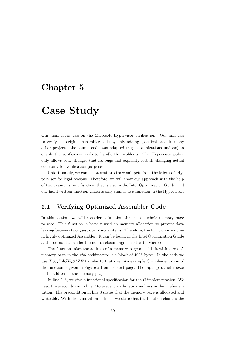# Chapter 5

# Case Study

Our main focus was on the Microsoft Hypervisor verification. Our aim was to verify the original Assembler code by only adding specifications. In many other projects, the source code was adapted (e.g. optimizations undone) to enable the verification tools to handle the problems. The Hypervisor policy only allows code changes that fix bugs and explicitly forbids changing actual code only for verification purposes.

Unfortunately, we cannot present arbitrary snippets from the Microsoft Hypervisor for legal reasons. Therefore, we will show our approach with the help of two examples: one function that is also in the Intel Optimization Guide, and one hand-written function which is only similar to a function in the Hypervisor.

# 5.1 Verifying Optimized Assembler Code

In this section, we will consider a function that sets a whole memory page to zero. This function is heavily used on memory allocation to prevent data leaking between two guest operating systems. Therefore, the function is written in highly optimized Assembler. It can be found in the Intel Optimization Guide and does not fall under the non-disclosure agreement with Microsoft.

The function takes the address of a memory page and fills it with zeros. A memory page in the x86 architecture is a block of 4096 bytes. In the code we use X86\_PAGE\_SIZE to refer to that size. An example C implementation of the function is given in Figure [5.1 on the next page.](#page-63-0) The input parameter base is the address of the memory page.

In line 2–5, we give a functional specification for the C implementation. We need the precondition in line 2 to prevent arithmetic overflows in the implementation. The precondition in line 3 states that the memory page is allocated and writeable. With the annotation in line 4 we state that the function changes the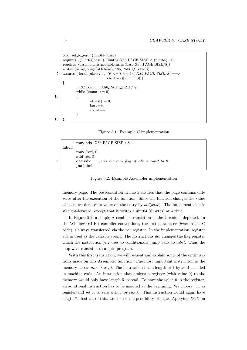```
void set to zero (uint64∗ base)
    requires ((uint64)base + (uint64)X86 PAGE SIZE < (uint64)−1)
    requires (assembler is mutable array(base,X86 PAGE SIZE/8))
    writes (array range(old(base),X86 PAGE SIZE/8))
5 ensures (forall (uint32 i; (0 \leq i \ \theta \ \theta \ \ i \leq X86 \ \text{PAGE}\ \text{SIZE}/8) ==)
                               old(base)[i] == 0)){
            int32 count = X86-PAGE-SIZE / 8;
            while (count >= 0)
10 {
                     *(base) = 0;base++;count−−;
            }
15 }
```
<span id="page-63-0"></span>

```
mov edx, X86 PAGE SIZE / 8
   label:
          mov [rcx], 0
         add rcx, 8
5 dec edx ; sets the zero flag if edx is equal to 0
         jnz label
```
<span id="page-63-1"></span>Figure 5.2: Example Assembler implementation

memory page. The postcondition in line 5 ensures that the page contains only zeros after the execution of the function. Since the function changes the value of base, we denote its value on the entry by  $old(base)$ . The implementation is straight-forward, except that it writes a uint64 (8 bytes) at a time.

In Figure [5.2,](#page-63-1) a simple Assembler translation of the C code is depicted. In the Windows 64-Bit compiler conventions, the first parameter (base in the C code) is always transferred via the  $rcx$  register. In the implementation, register  $edx$  is used as the variable *count*. The instructions  $dec$  changes the flag register which the instruction  $jnz$  uses to conditionally jump back to *label*. Thus the loop was translated to a goto-program.

With this first translation, we will present and explain some of the optimizations made on this Assembler function. The most important instruction is the memory access  $mov$   $[rcx]$ , 0. The instruction has a length of 7 bytes if encoded in machine code. An instruction that assigns a register (with value 0) to the memory would only have length 5 instead. To have the value 0 in the register, an additional instruction has to be inserted at the beginning. We choose rax as register and set it to zero with  $mov\, tax$ , 0. This instruction would again have length 7. Instead of this, we choose the possibility of logic. Applying XOR on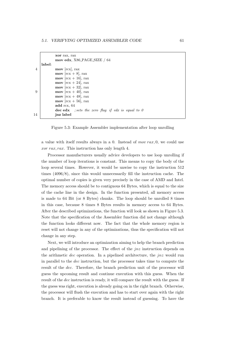```
xor rax, rax
                mov edx, X86 PAGE SIZE / 64
      label:
 4 mov [rcx], rax
                mov \left[ \text{rcx} + 8 \right], rax
                mov \left[ \text{rcx} + 16 \right], rax
                mov [rcx + 24], rax
                mov \left[ \text{rcx} + 32 \right], rax
 9 | mov \left[ \text{rcx} + 40 \right], rax
                mov \left[ \text{rcx} + 48 \right], rax
                mov \left[ \text{rcx} + 56 \right], rax
                add rcx, 64
                \textbf{dec}\textbf{edx} ; sets the zero flag if edx is equal to 0
14 jnz label
```
<span id="page-64-0"></span>Figure 5.3: Example Assembler implementation after loop unrolling

a value with itself results always in a 0. Instead of  $mov\, tax$ , 0, we could use xor rax, rax. This instruction has only length 4.

Processor manufacturers usually advice developers to use loop unrolling if the number of loop iterations is constant. This means to copy the body of the loop several times. However, it would be unwise to copy the instruction 512 times (4096/8), since this would unnecessarily fill the instruction cache. The optimal number of copies is given very precisely in the case of AMD and Intel. The memory access should be to contiguous 64 Bytes, which is equal to the size of the cache line in the design. In the function presented, all memory access is made to 64 Bit (or 8 Bytes) chunks. The loop should be unrolled 8 times in this case, because 8 times 8 Bytes results in memory access to 64 Bytes. After the described optimizations, the function will look as shown in Figure [5.3.](#page-64-0) Note that the specification of the Assembler function did not change although the function looks different now. The fact that the whole memory region is reset will not change in any of the optimizations, thus the specification will not change in any step.

Next, we will introduce an optimization aiming to help the branch prediction and pipelining of the processor. The effect of the  $jnz$  instruction depends on the arithmetic dec operation. In a pipelined architecture, the jnz would run in parallel to the dec instruction, but the processor takes time to compute the result of the dec. Therefore, the branch prediction unit of the processor will guess the upcoming result and continue execution with this guess. When the result of the dec instruction is ready, it will compare the result with the guess. If the guess was right, execution is already going on in the right branch. Otherwise, the processor will flush the execution and has to start over again with the right branch. It is preferable to know the result instead of guessing. To have the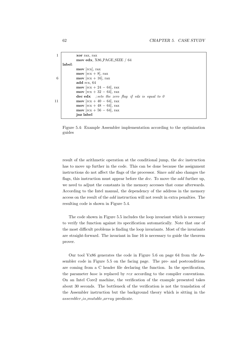```
1 xor rax, rax
             mov edx, X86 PAGE SIZE / 64
    label:
             mov [rcx], rax
             mov \left[ \text{rcx} + 8 \right], rax
6 mov \left[ \text{rcx} + 16 \right], rax
             add rcx, 64
             mov [rcx + 24 - 64], rax
             mov \left[ \text{rcx} + 32 - 64 \right], rax
             dec edx ; sets the zero flag if edx is equal to 011 mov [rcx + 40 - 64], rax
             mov [rcx + 48 - 64], rax
             mov [rcx + 56 - 64], rax
             jnz label
```
<span id="page-65-0"></span>Figure 5.4: Example Assembler implementation according to the optimization guides

result of the arithmetic operation at the conditional jump, the dec instruction has to move up further in the code. This can be done because the assignment instructions do not affect the flags of the processor. Since add also changes the flags, this instruction must appear before the dec. To move the add further up, we need to adjust the constants in the memory accesses that come afterwards. According to the Intel manual, the dependency of the address in the memory access on the result of the add instruction will not result in extra penalties. The resulting code is shown in Figure [5.4.](#page-65-0)

The code shown in Figure [5.5](#page-66-0) includes the loop invariant which is necessary to verify the function against its specification automatically. Note that one of the most difficult problems is finding the loop invariants. Most of the invariants are straight-forward. The invariant in line 16 is necessary to guide the theorem prover.

Our tool Vx86 generates the code in Figure [5.6 on page 64](#page-67-0) from the Assembler code in Figure [5.5 on the facing page.](#page-66-0) The pre- and postconditions are coming from a C header file declaring the function. In the specification, the parameter base is replaced by rcx according to the compiler conventions. On an Intel Core2 machine, the verification of the example presented takes about 30 seconds. The bottleneck of the verification is not the translation of the Assembler instruction but the background theory which is sitting in the assembler is mutable array predicate.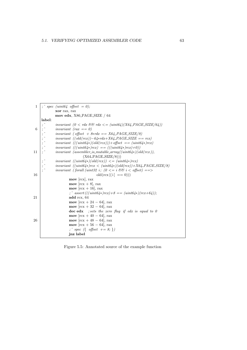```
1 ; ` spec (uint64 offset = 0);
             xor rax, rax
             mov edx, X86 PAGE SIZE / 64
     label:
             invariant (0 < rdx && rdx < = (uint64)(X64-PAGE-SIZE/64))
 6 ; \hat{i} invariant (rax == 0)
             invariant ( offset + 8* rdx == X64-PAGE-SIZE/8)
             invariant ((old(rcx)) - 64*rdx+X64<sub>-</sub>PAGE_SIZE == rcx)
             invariant (((uint64*)(old(rcx))) + offset == (unit64*)rcx)invariant \ (((uint64*)rcx) == (((uint64*)rcx)+0))11 \vert; invariant (assembler_is_mutable_array((uint64*)(old(rcx)),
                               (X64<sub>-PAGE</sub>SIZE/8))invariant \ ((uint64*)(old(rcx)) \leq (uint64*)rcx)invariant ((uint64*)rcx < (uint64*)(old(rcx)) + X64.PAGE\_SIZE/8)invariant (forall (uint32 i; (0 \leq i \leq \mathcal{C}) is (0 \leq i \leq \mathcal{C}) is (i \leq j \leq \mathcal{C})16 old(\text{rcx})[i] == 0)))
                      mov [rcx], rax
                      mov [<i>rcx</i> + 8], <i>rxx</i>mov [rcx + 16], rax
                      ; \hat{i} assert (((uint64∗)rcx)+8 == (uint64∗)(rcx+64));
21 add rcx, 64
                      mov [rcx + 24 - 64], rax
                      mov \left[ \text{rcx} + 32 - 64 \right], rax
                      \textbf{dec}\textbf{edx} ; sets the zero flag if edx is equal to 0
                      mov [rcx + 40 - 64], rax
26 | mov \text{rcx} + 48 - 64, rax
                      mov \left[ \text{rcx} + 56 - 64 \right], rax
                      ; \hat{p} \text{ spec } (\{ \text{ offset } +=8; \})jnz label
```
<span id="page-66-0"></span>Figure 5.5: Annotated source of the example function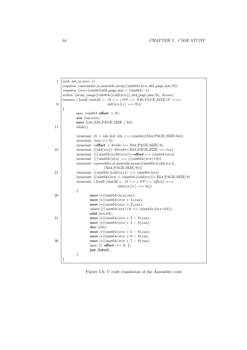| $\mathbf{1}$ | void set_to_zero ()                                                                                              |
|--------------|------------------------------------------------------------------------------------------------------------------|
|              | requires (assembler_is_mutable_array( $(\text{uint64*})r\text{cx},\text{x64}\text{_page}\text{_size}/8)$ )       |
|              | requires $(rcx + (uint64)xd64$ -page_size < $(uint64)-1)$                                                        |
|              | writes $(\arctan\arccos( (\text{uint}64*)) (\text{old} (\text{rc}x)), x64 \text{-page_size}/8), \& \text{core})$ |
|              | ensures (forall (uint32 i; $(0 \leq i \ \Theta \ \theta \ i \leq X86 \ \text{PAGE}\ \text{SIZE}/8) ==$ )         |
| 6            | $old(rcx)[i] == 0))$                                                                                             |
|              | $\{$                                                                                                             |
|              | spec (uint64 <b>offset</b> = 0);                                                                                 |
|              | $\mathbf{xor}$ (rax, rax);                                                                                       |
|              | mov $(rdx, X64$ -PAGE-SIZE / 64);                                                                                |
| 11           | while()                                                                                                          |
|              |                                                                                                                  |
|              | invariant $(0 < \text{rdx} \&\text{dx} \&\text{rdx} \leq (\text{uint64})(X64 \text{ PAGE}\_\text{SIZE}/64))$     |
|              | invariant $(\text{tax} == 0)$                                                                                    |
|              | invariant (offset $+8*\text{rdx} == X64$ PAGE SIZE/8)                                                            |
| 16           | invariant $((old(rcx)) - 64*rdx + X64$ -PAGE-SIZE == rcx)                                                        |
|              | invariant $(((\text{uint}64*)(\text{old}(\text{rc}))) + \text{offset} == (\text{uint}64*)\text{rc}x)$            |
|              | invariant $(((\text{uint}64*)\text{rcx}) = (((\text{uint}64*)\text{rcx})+0))$                                    |
|              | invariant (assembler_is_mutable_array( $(\text{uint64*})(\text{old}(\text{rcx})),$                               |
|              | $(X64$ <sub>-PAGE</sub> <sub>-SIZE</sub> $(8))$                                                                  |
| 21           | invariant $((\text{uint}64*)(\text{old}(\text{rcx})) \leq (\text{uint}64*)\text{rcx})$                           |
|              | invariant $((\text{uint}64*)\text{rcx} < (\text{uint}64*)(\text{old}(\text{rcx})) + X64\_PAGE\_SIZE/8)$          |
|              | invariant (for<br>all (uint32 i; ( $0 \le i \le \mathcal{C}$ i $\le$ offset) ==>                                 |
|              | $old(rcx)[i] == 0))$                                                                                             |
|              | $\{$                                                                                                             |
| 26           | $\textbf{mov}$ (*((uint64*)rcx),rax);                                                                            |
|              | mov $(*((uint64*)rx + 1), tax);$                                                                                 |
|              | mov $(*((uint64*)rx + 2), tax);$                                                                                 |
|              | assert (((uint64*) $rcx$ )+8 = (uint64*) $rcx+64$ ));                                                            |
|              | add $(rcx, 64)$ ;                                                                                                |
| 31           | mov (*((uint64*) $rcx + 3 - 8$ ),rax);                                                                           |
|              | mov (*((uint64*) $rcx + 4 - 8$ ),rax);                                                                           |
|              | $dec$ $(rdx);$                                                                                                   |
|              | mov (*((uint64*) $rcx + 5 - 8$ ),rax);                                                                           |
|              | mov (*((uint64*) $rcx + 6 - 8$ ),rax;                                                                            |
| 36           | mov (*((uint64*) $rcx + 7 - 8$ ),rax);                                                                           |
|              | spec ({ $offset$ += 8; })                                                                                        |
|              | $jnz$ (label);                                                                                                   |
|              | $\}$                                                                                                             |
|              | }                                                                                                                |

<span id="page-67-0"></span>Figure 5.6: C code translation of the Assembler code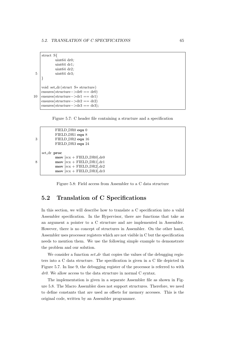```
struct S{
            uint64 dr0;
            uint64 dr1;
            uint64 dr2;
 5 uint64 dr3;
    }
    void set dr ( struct S∗ structure)
    ensures(structure−>dr0 == dr0)
10 ensures(structure –>dr1 == dr1)
    ensures(structure−>dr2 == dr2)
    ensures(structure->dr3 == dr3);
```
<span id="page-68-0"></span>Figure 5.7: C header file containing a structure and a specification

```
FIELD DR0 equ 0
          FIELD DR1 equ 8
3 FIELD_DR2 equ 16
          FIELD DR3 equ 24
   set dr proc
          mov [rcx + FIELD_DR0].dr08 mov \text{rcx} + \text{FIELD\_DR1}, \text{dr1}mov [rcx + FIELD_DR2],dr2
          mov [rcx + FIELD_DR3],dr3
```
<span id="page-68-1"></span>Figure 5.8: Field access from Assembler to a C data structure

# 5.2 Translation of C Specifications

In this section, we will describe how to translate a C specification into a valid Assembler specification. In the Hypervisor, there are functions that take as an argument a pointer to a C structure and are implemented in Assembler. However, there is no concept of structures in Assembler. On the other hand, Assembler uses processor registers which are not visible in C but the specification needs to mention them. We use the following simple example to demonstrate the problem and our solution.

We consider a function  $set\_dr$  that copies the values of the debugging registers into a C data structure. The specification is given in a C file depicted in Figure [5.7.](#page-68-0) In line 9, the debugging register of the processor is referred to with dr0. We allow access to the data structure in normal C syntax.

The implementation is given in a separate Assembler file as shown in Figure [5.8.](#page-68-1) The Macro Assembler does not support structures. Therefore, we need to define constants that are used as offsets for memory accesses. This is the original code, written by an Assembler programmer.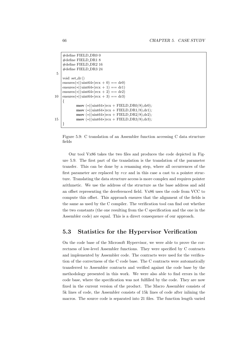```
#define FIELD DR0 0
      #define FIELD DR1 8
      #define FIELD DR2 16
      #define FIELD DR3 24
 5
      void set dr ()
      ensures(*((\text{uint}64*)\text{rcx} + 0) == d\text{r}0)ensures(*((\text{uint}64*)\text{rcx} + 1) == \text{dr}1)ensures(*((\text{uint}64*)\text{rcx} + 2) == \text{dr}2)10 ensures(*((\text{uint}64*)\text{rcx} + 3) == d\text{r}3){
                 mov (*((\text{uint}64*)\text{rcx} + \text{FIELD} \text{DR0}/8), \text{dr0});mov (*((\text{uint}64*)\text{rcx} + \text{FIELD\_DR1}/8),\text{dr1});mov (*((\text{uint}64*)\text{rcx} + \text{FIELD} - \text{DR2}/8), d\text{r2});15 mov (*((\text{uint}64*)\text{rcx} + \text{FIELD} \text{DR3}/8),\text{dr}3);}
```
<span id="page-69-0"></span>Figure 5.9: C translation of an Assembler function accessing C data structure fields

Our tool Vx86 takes the two files and produces the code depicted in Figure [5.9.](#page-69-0) The first part of the translation is the translation of the parameter transfer. This can be done by a renaming step, where all occurrences of the first parameter are replaced by rcx and in this case a cast to a pointer structure. Translating the data structure access is more complex and requires pointer arithmetic. We use the address of the structure as the base address and add an offset representing the dereferenced field. Vx86 uses the code from VCC to compute this offset. This approach ensures that the alignment of the fields is the same as used by the C compiler. The verification tool can find out whether the two constants (the one resulting from the C specification and the one in the Assembler code) are equal. This is a direct consequence of our approach.

# 5.3 Statistics for the Hypervisor Verification

On the code base of the Microsoft Hypervisor, we were able to prove the correctness of low-level Assembler functions. They were specified by C contracts and implemented by Assembler code. The contracts were used for the verification of the correctness of the C code base. The C contracts were automatically transferred to Assembler contracts and verified against the code base by the methodology presented in this work. We were also able to find errors in the code base, where the specification was not fulfilled by the code. They are now fixed in the current version of the product. The Macro Assembler consists of 5k lines of code, the Assembler consists of 15k lines of code after inlining the macros. The source code is separated into 21 files. The function length varied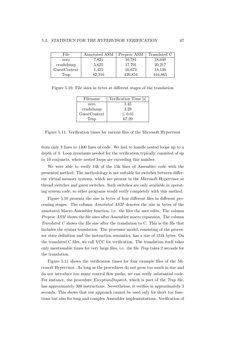| File         | Annotated ASM | Preproc ASM | Translated C |
|--------------|---------------|-------------|--------------|
| zero         | 7,821         | 16,781      | 18,040       |
| crashdump    | 5,625         | 17,791      | 20,217       |
| GuestContext | 1.422         | 16,673      | 18,136       |
| Trap         | 82,316        | 420,854     | 444,865      |

Figure 5.10: File sizes in bytes at different stages of the translation

<span id="page-70-0"></span>

| Filename     | Verification Time [s] |
|--------------|-----------------------|
| zero         | 1.45                  |
| crashdump    | 3.29                  |
| GuestContext | $\leq 0.01$           |
| Trap         | 67.20                 |

<span id="page-70-1"></span>Figure 5.11: Verification times for various files of the Microsoft Hypervisor

from only 3 lines to 1400 lines of code. We had to handle nested loops up to a depth of 3. Loop invariants needed for the verification typically consisted of up to 10 conjuncts, where nested loops are exceeding this number.

We were able to verify 14k of the 15k lines of Assembler code with the presented method. The methodology is not suitable for switches between different virtual memory systems, which are present in the Microsoft Hypervisor at thread switches and guest switches. Such switches are only available in operating system code, so other programs would verify completely with this method.

Figure [5.10](#page-70-0) presents the size in bytes of four different files in different processing stages. The column Annotated ASM denotes the size in bytes of the annotated Macro Assembler function, i.e. the files the user edits. The column Preproc ASM shows the file sizes after Assembler macro expansion. The column Translated C shows the file size after the translation to C. This is the file that includes the syntax translation. The processor model, consisting of the processor state definition and the instruction semantics, has a size of 131k bytes. On the translated C files, we call VCC for verification. The translation itself takes only mentionable times for very large files, i.e. the file Trap takes 2 seconds for the translation.

Figure [5.11](#page-70-1) shows the verification times for four example files of the Microsoft Hypervisor. As long as the procedures do not grow too much in size and do not introduce too many control flow paths, we can verify substantial code. For instance, the procedure *ExceptionDispatch*, which is part of the Trap file, has approximately 300 instructions. Nevertheless, it verifies in approximately 3 seconds. This shows that our approach cannot be used only for short toy functions but also for long and complex Assembler implementations. Verification of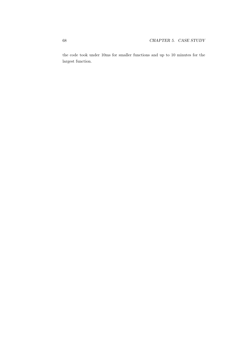the code took under 10ms for smaller functions and up to 10 minutes for the largest function.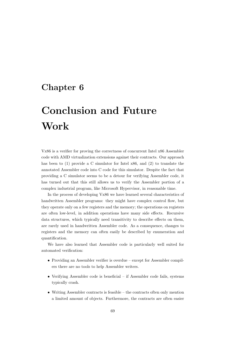## Chapter 6

# Conclusion and Future Work

Vx86 is a verifier for proving the correctness of concurrent Intel x86 Assembler code with AMD virtualization extensions against their contracts. Our approach has been to (1) provide a C simulator for Intel x86, and (2) to translate the annotated Assembler code into C code for this simulator. Despite the fact that providing a C simulator seems to be a detour for verifying Assembler code, it has turned out that this still allows us to verify the Assembler portion of a complex industrial program, like Microsoft Hypervisor, in reasonable time.

In the process of developing Vx86 we have learned several characteristics of handwritten Assembler programs: they might have complex control flow, but they operate only on a few registers and the memory; the operations on registers are often low-level, in addition operations have many side effects. Recursive data structures, which typically need transitivity to describe effects on them, are rarely used in handwritten Assembler code. As a consequence, changes to registers and the memory can often easily be described by enumeration and quantification.

We have also learned that Assembler code is particularly well suited for automated verification:

- Providing an Assembler verifier is overdue except for Assembler compilers there are no tools to help Assembler writers.
- Verifying Assembler code is beneficial if Assembler code fails, systems typically crash.
- Writing Assembler contracts is feasible the contracts often only mention a limited amount of objects. Furthermore, the contracts are often easier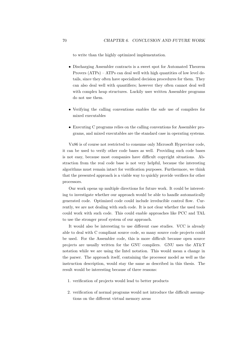to write than the highly optimized implementation.

- Discharging Assembler contracts is a sweet spot for Automated Theorem Provers (ATPs) – ATPs can deal well with high quantities of low level details, since they often have specialized decision procedures for them. They can also deal well with quantifiers; however they often cannot deal well with complex heap structures. Luckily user written Assembler programs do not use them.
- Verifying the calling conventions enables the safe use of compilers for mixed executables
- Executing C programs relies on the calling conventions for Assembler programs, and mixed executables are the standard case in operating systems.

Vx86 is of course not restricted to consume only Microsoft Hypervisor code, it can be used to verify other code bases as well. Providing such code bases is not easy, because most companies have difficult copyright situations. Abstraction from the real code base is not very helpful, because the interesting algorithms must remain intact for verification purposes. Furthermore, we think that the presented approach is a viable way to quickly provide verifiers for other processors.

Our work opens up multiple directions for future work. It could be interesting to investigate whether our approach would be able to handle automatically generated code. Optimized code could include irreducible control flow. Currently, we are not dealing with such code. It is not clear whether the used tools could work with such code. This could enable approaches like PCC and TAL to use the stronger proof system of our approach.

It would also be interesting to use different case studies. VCC is already able to deal with C compliant source code, so many source code projects could be used. For the Assembler code, this is more difficult because open source projects are usually written for the GNU compilers. GNU uses the AT&T notation while we are using the Intel notation. This would mean a change in the parser. The approach itself, containing the processor model as well as the instruction description, would stay the same as described in this thesis. The result would be interesting because of three reasons:

- 1. verification of projects would lead to better products
- 2. verification of normal programs would not introduce the difficult assumptions on the different virtual memory areas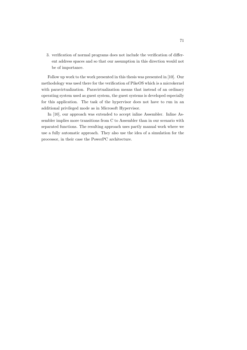3. verification of normal programs does not include the verification of different address spaces and so that our assumption in this direction would not be of importance.

Follow up work to the work presented in this thesis was presented in [\[10\]](#page-76-0). Our methodology was used there for the verification of PikeOS which is a microkernel with paravirtualization. Paravirtualization means that instead of an ordinary operating system used as guest system, the guest systems is developed especially for this application. The task of the hypervisor does not have to run in an additional privileged mode as in Microsoft Hypervisor.

In [\[10\]](#page-76-0), our approach was extended to accept inline Assembler. Inline Assembler implies more transitions from C to Assembler than in our scenario with separated functions. The resulting approach uses partly manual work where we use a fully automatic approach. They also use the idea of a simulation for the processor, in their case the PowerPC architecture.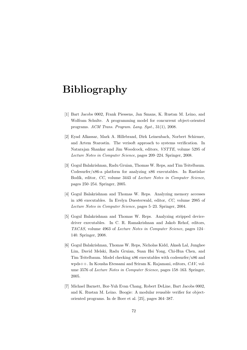# Bibliography

- [1] Bart Jacobs 0002, Frank Piessens, Jan Smans, K. Rustan M. Leino, and Wolfram Schulte. A programming model for concurrent object-oriented programs. ACM Trans. Program. Lang. Syst., 31(1), 2008.
- [2] Eyad Alkassar, Mark A. Hillebrand, Dirk Leinenbach, Norbert Schirmer, and Artem Starostin. The verisoft approach to systems verification. In Natarajan Shankar and Jim Woodcock, editors, VSTTE, volume 5295 of Lecture Notes in Computer Science, pages 209–224. Springer, 2008.
- [3] Gogul Balakrishnan, Radu Gruian, Thomas W. Reps, and Tim Teitelbaum. Codesurfer/x86-a platform for analyzing x86 executables. In Rastislav Bodík, editor, CC, volume 3443 of Lecture Notes in Computer Science, pages 250–254. Springer, 2005.
- [4] Gogul Balakrishnan and Thomas W. Reps. Analyzing memory accesses in x86 executables. In Evelyn Duesterwald, editor, CC, volume 2985 of Lecture Notes in Computer Science, pages 5–23. Springer, 2004.
- [5] Gogul Balakrishnan and Thomas W. Reps. Analyzing stripped devicedriver executables. In C. R. Ramakrishnan and Jakob Rehof, editors, TACAS, volume 4963 of Lecture Notes in Computer Science, pages 124– 140. Springer, 2008.
- [6] Gogul Balakrishnan, Thomas W. Reps, Nicholas Kidd, Akash Lal, Junghee Lim, David Melski, Radu Gruian, Suan Hsi Yong, Chi-Hua Chen, and Tim Teitelbaum. Model checking x86 executables with codesurfer/x86 and wpds++. In Kousha Etessami and Sriram K. Rajamani, editors, CAV, volume 3576 of Lecture Notes in Computer Science, pages 158–163. Springer, 2005.
- [7] Michael Barnett, Bor-Yuh Evan Chang, Robert DeLine, Bart Jacobs 0002, and K. Rustan M. Leino. Boogie: A modular reusable verifier for objectoriented programs. In de Boer et al. [\[25\]](#page-77-0), pages 364–387.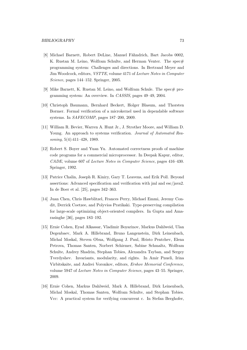- [8] Michael Barnett, Robert DeLine, Manuel Fähndrich, Bart Jacobs 0002, K. Rustan M. Leino, Wolfram Schulte, and Herman Venter. The spec# programming system: Challenges and directions. In Bertrand Meyer and Jim Woodcock, editors, VSTTE, volume 4171 of Lecture Notes in Computer Science, pages 144–152. Springer, 2005.
- [9] Mike Barnett, K. Rustan M. Leino, and Wolfram Schule. The spec $\#$  programming system: An overview. In CASSIS, pages 49–49, 2004.
- <span id="page-76-0"></span>[10] Christoph Baumann, Bernhard Beckert, Holger Blasum, and Thorsten Bormer. Formal verification of a microkernel used in dependable software systems. In SAFECOMP, pages 187–200, 2009.
- [11] William R. Bevier, Warren A. Hunt Jr., J. Strother Moore, and William D. Young. An approach to systems verification. Journal of Automated Reasoning, 5(4):411–428, 1989.
- [12] Robert S. Boyer and Yuan Yu. Automated correctness proofs of machine code programs for a commercial microprocessor. In Deepak Kapur, editor, CADE, volume 607 of Lecture Notes in Computer Science, pages 416–430. Springer, 1992.
- [13] Patrice Chalin, Joseph R. Kiniry, Gary T. Leavens, and Erik Poll. Beyond assertions: Advanced specification and verification with jml and esc/java2. In de Boer et al. [\[25\]](#page-77-0), pages 342–363.
- [14] Juan Chen, Chris Hawblitzel, Frances Perry, Michael Emmi, Jeremy Condit, Derrick Coetzee, and Polyvios Pratikaki. Type-preserving compilation for large-scale optimizing object-oriented compilers. In Gupta and Amarasinghe [\[36\]](#page-78-0), pages 183–192.
- [15] Ernie Cohen, Eyad Alkassar, Vladimir Boyarinov, Markus Dahlweid, Ulan Degenbaev, Mark A. Hillebrand, Bruno Langenstein, Dirk Leinenbach, Michal Moskal, Steven Obua, Wolfgang J. Paul, Hristo Pentchev, Elena Petrova, Thomas Santen, Norbert Schirmer, Sabine Schmaltz, Wolfram Schulte, Andrey Shadrin, Stephan Tobies, Alexandra Tsyban, and Sergey Tverdyshev. Invariants, modularity, and rights. In Amir Pnueli, Irina Virbitskaite, and Andrei Voronkov, editors, Ershov Memorial Conference, volume 5947 of Lecture Notes in Computer Science, pages 43–55. Springer, 2009.
- [16] Ernie Cohen, Markus Dahlweid, Mark A. Hillebrand, Dirk Leinenbach, Michal Moskal, Thomas Santen, Wolfram Schulte, and Stephan Tobies. Vcc: A practical system for verifying concurrent c. In Stefan Berghofer,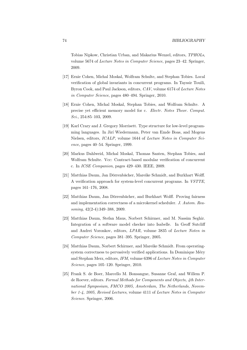Tobias Nipkow, Christian Urban, and Makarius Wenzel, editors, TPHOLs, volume 5674 of Lecture Notes in Computer Science, pages 23–42. Springer, 2009.

- [17] Ernie Cohen, Michal Moskal, Wolfram Schulte, and Stephan Tobies. Local verification of global invariants in concurrent programs. In Tayssir Touili, Byron Cook, and Paul Jackson, editors, CAV, volume 6174 of Lecture Notes in Computer Science, pages 480–494. Springer, 2010.
- [18] Ernie Cohen, Michal Moskal, Stephan Tobies, and Wolfram Schulte. A precise yet efficient memory model for c. Electr. Notes Theor. Comput. Sci., 254:85–103, 2009.
- [19] Karl Crary and J. Gregory Morrisett. Type structure for low-level programming languages. In Jir´ı Wiedermann, Peter van Emde Boas, and Mogens Nielsen, editors, ICALP, volume 1644 of Lecture Notes in Computer Science, pages 40–54. Springer, 1999.
- [20] Markus Dahlweid, Michal Moskal, Thomas Santen, Stephan Tobies, and Wolfram Schulte. Vcc: Contract-based modular verification of concurrent c. In ICSE Companion, pages 429–430. IEEE, 2009.
- [21] Matthias Daum, Jan Dörrenbächer, Mareike Schmidt, and Burkhart Wolff. A verification approach for system-level concurrent programs. In VSTTE, pages 161–176, 2008.
- [22] Matthias Daum, Jan Dörrenbächer, and Burkhart Wolff. Proving fairness and implementation correctness of a microkernel scheduler. J. Autom. Reasoning, 42(2-4):349–388, 2009.
- [23] Matthias Daum, Stefan Maus, Norbert Schirmer, and M. Nassim Seghir. Integration of a software model checker into Isabelle. In Geoff Sutcliff and Andrei Voronkov, editors, LPAR, volume 3835 of Lecture Noten in Computer Science, pages 381–395. Springer, 2005.
- [24] Matthias Daum, Norbert Schirmer, and Mareike Schmidt. From operatingsystem correctness to pervasively verified applications. In Dominique Méry and Stephan Merz, editors, IFM, volume 6396 of Lecture Notes in Computer Science, pages 105–120. Springer, 2010.
- <span id="page-77-0"></span>[25] Frank S. de Boer, Marcello M. Bonsangue, Susanne Graf, and Willem P. de Roever, editors. Formal Methods for Components and Objects, 4th International Symposium, FMCO 2005, Amsterdam, The Netherlands, November 1-4, 2005, Revised Lectures, volume 4111 of Lecture Notes in Computer Science. Springer, 2006.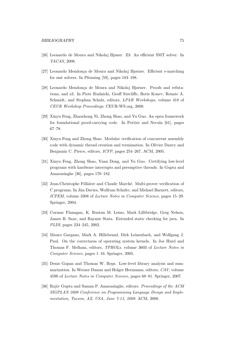- [26] Leonardo de Moura and Nikolaj Bjøner. Z3: An efficient SMT solver. In TACAS, 2008.
- [27] Leonardo Mendonça de Moura and Nikolaj Bjørner. Efficient e-matching for smt solvers. In Pfenning [\[59\]](#page-80-0), pages 183–198.
- [28] Leonardo Mendonça de Moura and Nikolaj Bjørner. Proofs and refutations, and z3. In Piotr Rudnicki, Geoff Sutcliffe, Boris Konev, Renate A. Schmidt, and Stephan Schulz, editors, LPAR Workshops, volume 418 of CEUR Workshop Proceedings. CEUR-WS.org, 2008.
- [29] Xinyu Feng, Zhaozhong Ni, Zhong Shao, and Yu Guo. An open framework for foundational proof-carrying code. In Pottier and Necula [\[61\]](#page-81-0), pages 67–78.
- [30] Xinyu Feng and Zhong Shao. Modular verification of concurrent assembly code with dynamic thread creation and termination. In Olivier Danvy and Benjamin C. Pierce, editors, ICFP, pages 254–267. ACM, 2005.
- [31] Xinyu Feng, Zhong Shao, Yuan Dong, and Yu Guo. Certifying low-level programs with hardware interrupts and preemptive threads. In Gupta and Amarasinghe [\[36\]](#page-78-0), pages 170–182.
- [32] Jean-Christophe Filliâtre and Claude Marché. Multi-prover verification of C programs. In Jim Davies, Wolfram Schulte, and Michael Barnett, editors, ICFEM, volume 3308 of Lecture Notes in Computer Science, pages 15–29. Springer, 2004.
- [33] Cormac Flanagan, K. Rustan M. Leino, Mark Lillibridge, Greg Nelson, James B. Saxe, and Raymie Stata. Extended static checking for java. In PLDI, pages 234–245, 2002.
- [34] Mauro Gargano, Mark A. Hillebrand, Dirk Leinenbach, and Wolfgang J. Paul. On the correctness of operating system kernels. In Joe Hurd and Thomas F. Melham, editors, TPHOLs, volume 3603 of Lecture Notes in Computer Science, pages 1–16. Springer, 2005.
- [35] Denis Gopan and Thomas W. Reps. Low-level library analysis and summarization. In Werner Damm and Holger Hermanns, editors, CAV, volume 4590 of Lecture Notes in Computer Science, pages 68–81. Springer, 2007.
- <span id="page-78-0"></span>[36] Rajiv Gupta and Saman P. Amarasinghe, editors. Proceedings of the ACM SIGPLAN 2008 Conference on Programming Language Design and Implementation, Tucson, AZ, USA, June 7-13, 2008. ACM, 2008.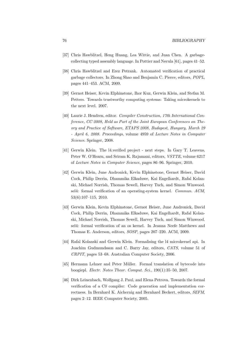- [37] Chris Hawblitzel, Heng Huang, Lea Wittie, and Juan Chen. A garbagecollecting typed assembly language. In Pottier and Necula [\[61\]](#page-81-0), pages 41–52.
- [38] Chris Hawblitzel and Erez Petrank. Automated verification of practical garbage collectors. In Zhong Shao and Benjamin C. Pierce, editors, POPL, pages 441–453. ACM, 2009.
- [39] Gernot Heiser, Kevin Elphinstone, Ihor Kuz, Gerwin Klein, and Stefan M. Petters. Towards trustworthy computing systems: Taking microkernels to the next level. 2007.
- <span id="page-79-0"></span>[40] Laurie J. Hendren, editor. Compiler Construction, 17th International Conference, CC 2008, Held as Part of the Joint European Conferences on Theory and Practice of Software, ETAPS 2008, Budapest, Hungary, March 29 - April 6, 2008. Proceedings, volume 4959 of Lecture Notes in Computer Science. Springer, 2008.
- [41] Gerwin Klein. The l4.verified project next steps. In Gary T. Leavens, Peter W. O'Hearn, and Sriram K. Rajamani, editors, VSTTE, volume 6217 of Lecture Notes in Computer Science, pages 86–96. Springer, 2010.
- [42] Gerwin Klein, June Andronick, Kevin Elphinstone, Gernot Heiser, David Cock, Philip Derrin, Dhammika Elkaduwe, Kai Engelhardt, Rafal Kolanski, Michael Norrish, Thomas Sewell, Harvey Tuch, and Simon Winwood. sel4: formal verification of an operating-system kernel. Commun. ACM, 53(6):107–115, 2010.
- [43] Gerwin Klein, Kevin Elphinstone, Gernot Heiser, June Andronick, David Cock, Philip Derrin, Dhammika Elkaduwe, Kai Engelhardt, Rafal Kolanski, Michael Norrish, Thomas Sewell, Harvey Tuch, and Simon Winwood. sel4: formal verification of an os kernel. In Jeanna Neefe Matthews and Thomas E. Anderson, editors, SOSP, pages 207–220. ACM, 2009.
- [44] Rafal Kolanski and Gerwin Klein. Formalising the l4 microkernel api. In Joachim Gudmundsson and C. Barry Jay, editors, CATS, volume 51 of CRPIT, pages 53–68. Australian Computer Society, 2006.
- [45] Hermann Lehner and Peter Müller. Formal translation of bytecode into boogiepl. Electr. Notes Theor. Comput. Sci., 190(1):35–50, 2007.
- [46] Dirk Leinenbach, Wolfgang J. Paul, and Elena Petrova. Towards the formal verification of a C0 compiler: Code generation and implementation correctness. In Bernhard K. Aichernig and Bernhard Beckert, editors, SEFM, pages 2–12. IEEE Computer Society, 2005.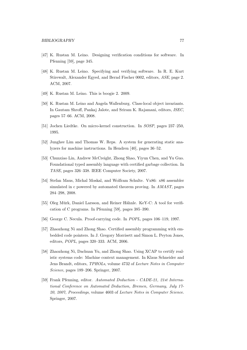- [47] K. Rustan M. Leino. Designing verification conditions for software. In Pfenning [\[59\]](#page-80-0), page 345.
- [48] K. Rustan M. Leino. Specifying and verifying software. In R. E. Kurt Stirewalt, Alexander Egyed, and Bernd Fischer 0002, editors, ASE, page 2. ACM, 2007.
- [49] K. Rustan M. Leino. This is boogie 2. 2009.
- [50] K. Rustan M. Leino and Angela Wallenburg. Class-local object invariants. In Gautam Shroff, Pankaj Jalote, and Sriram K. Rajamani, editors, ISEC, pages 57–66. ACM, 2008.
- [51] Jochen Liedtke. On micro-kernel construction. In SOSP, pages 237–250, 1995.
- [52] Junghee Lim and Thomas W. Reps. A system for generating static analyzers for machine instructions. In Hendren [\[40\]](#page-79-0), pages 36–52.
- [53] Chunxiao Lin, Andrew McCreight, Zhong Shao, Yiyun Chen, and Yu Guo. Foundational typed assembly language with certified garbage collection. In TASE, pages 326–338. IEEE Computer Society, 2007.
- [54] Stefan Maus, Michal Moskal, and Wolfram Schulte. Vx86: x86 assembler simulated in c powered by automated theorem proving. In AMAST, pages 284–298, 2008.
- [55] Oleg Mürk, Daniel Larsson, and Reiner Hähnle. KeY-C: A tool for verification of C programs. In Pfenning [\[59\]](#page-80-0), pages 385–390.
- [56] George C. Necula. Proof-carrying code. In POPL, pages 106–119, 1997.
- [57] Zhaozhong Ni and Zhong Shao. Certified assembly programming with embedded code pointers. In J. Gregory Morrisett and Simon L. Peyton Jones, editors, POPL, pages 320–333. ACM, 2006.
- [58] Zhaozhong Ni, Dachuan Yu, and Zhong Shao. Using XCAP to certify realistic systems code: Machine context management. In Klaus Schneider and Jens Brandt, editors, TPHOLs, volume 4732 of Lecture Notes in Computer Science, pages 189–206. Springer, 2007.
- <span id="page-80-0"></span>[59] Frank Pfenning, editor. Automated Deduction - CADE-21, 21st International Conference on Automated Deduction, Bremen, Germany, July 17- 20, 2007, Proceedings, volume 4603 of Lecture Notes in Computer Science. Springer, 2007.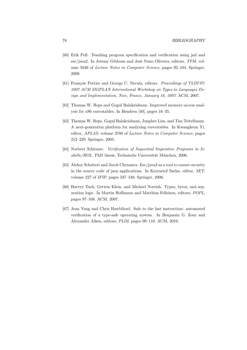- [60] Erik Poll. Teaching program specification and verification using jml and esc/java2. In Jeremy Gibbons and José Nuno Oliveira, editors, TFM, volume 5846 of Lecture Notes in Computer Science, pages 92–104. Springer, 2009.
- <span id="page-81-0"></span>[61] François Pottier and George C. Necula, editors. *Proceedings of TLDI'07*: 2007 ACM SIGPLAN International Workshop on Types in Languages Design and Implementation, Nice, France, January 16, 2007. ACM, 2007.
- [62] Thomas W. Reps and Gogul Balakrishnan. Improved memory-access analysis for x86 executables. In Hendren [\[40\]](#page-79-0), pages 16–35.
- [63] Thomas W. Reps, Gogul Balakrishnan, Junghee Lim, and Tim Teitelbaum. A next-generation platform for analyzing executables. In Kwangkeun Yi, editor, APLAS, volume 3780 of Lecture Notes in Computer Science, pages 212–229. Springer, 2005.
- [64] Norbert Schirmer. Verification of Sequential Imperative Programs in Is $abelle/HOL$ . PhD thesis, Technische Universität München, 2006.
- [65] Aleksy Schubert and Jacek Chrzaszcz. Esc/java2 as a tool to ensure security in the source code of java applications. In Krzysztof Sacha, editor, SET, volume 227 of IFIP, pages 337–348. Springer, 2006.
- [66] Harvey Tuch, Gerwin Klein, and Michael Norrish. Types, bytes, and separation logic. In Martin Hoffmann and Matthias Felleisen, editors, POPL, pages 97–108. ACM, 2007.
- [67] Jean Yang and Chris Hawblitzel. Safe to the last instruction: automated verification of a type-safe operating system. In Benjamin G. Zorn and Alexander Aiken, editors, PLDI, pages 99–110. ACM, 2010.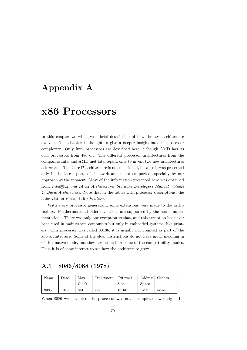# Appendix A

# x86 Processors

In this chapter we will give a brief description of how the x86 architecture evolved. The chapter is thought to give a deeper insight into the processor complexity. Only Intel processors are described here, although AMD has its own processors from 486 on. The different processor architectures from the companies Intel and AMD met later again, only to invent two new architectures afterwards. The Core i7 architecture is not mentioned, because it was presented only in the latest parts of the work and is not supported especially by our approach at the moment. Most of the information presented here was obtained from Intel®, 64 and IA-32 Architectures Software Developers Manual Volume 1: Basic Architecture. Note that in the tables with processor descriptions, the abbreviation P stands for Pentium.

With every processor generation, some extensions were made to the architecture. Furthermore, all older inventions are supported by the newer implementations. There was only one exception to that, and this exception has never been used in mainstream computers but only in embedded systems, like printers. This processor was called 80186, it is usually not counted as part of the x86 architecture. Some of the older instructions do not have much meaning in 64–Bit native mode, but they are needed for some of the compatibility modes. Thus it is of some interest to see how the architecture grew.

### A.1 8086/8088 (1978)

| Name | $_{\text{Date}}$ | Max   | Transistors <sup>'</sup> | External    | <b>Address</b> | Caches |
|------|------------------|-------|--------------------------|-------------|----------------|--------|
|      |                  | Clock |                          | <b>Size</b> | Space          |        |
| 8086 | 1978             | 8М    | 29k                      | 16Bit       | 1MB            | none   |

When 8086 was invented, the processor was not a complete new design. In-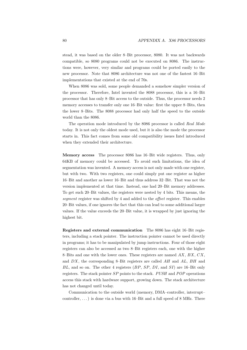stead, it was based on the older 8–Bit processor, 8080. It was not backwards compatible, so 8080 programs could not be executed on 8086. The instructions were, however, very similar and programs could be ported easily to the new processor. Note that 8086 architecture was not one of the fastest 16–Bit implementations that existed at the end of 70s.

When 8086 was sold, some people demanded a somehow simpler version of the processor. Therefore, Intel invented the 8088 processor, this is a 16–Bit processor that has only 8–Bit access to the outside. Thus, the processor needs 2 memory accesses to transfer only one 16–Bit value: first the upper 8–Bits, then the lower 8–Bits. The 8088 processor had only half the speed to the outside world than the 8086.

The operation mode introduced by the 8086 processor is called Real Mode today. It is not only the oldest mode used, but it is also the mode the processor starts in. This fact comes from some old compatibility issues Intel introduced when they extended their architecture.

Memory access The processor 8086 has 16–Bit wide registers. Thus, only 64KB of memory could be accessed. To avoid such limitations, the idea of segmentation was invented. A memory access is not only made with one register, but with two. With two registers, one could simply put one register as higher 16–Bit and another as lower 16–Bit and thus address 32–Bit. That was not the version implemented at that time. Instead, one had 20–Bit memory addresses. To get such 20–Bit values, the registers were nested by 4 bits. This means, the segment register was shifted by 4 and added to the *offset* register. This enables 20–Bit values, if one ignores the fact that this can lead to some additional larger values. If the value exceeds the 20–Bit value, it is wrapped by just ignoring the highest bit.

Registers and external communication The 8086 has eight 16–Bit registers, including a stack pointer. The instruction pointer cannot be used directly in programs; it has to be manipulated by jump instructions. Four of those eight registers can also be accessed as two 8–Bit registers each, one with the higher 8–Bits and one with the lower ones. These registers are named  $AX$ ,  $BX$ ,  $CX$ , and DX, the corresponding 8–Bit registers are called AH and AL, BH and  $BL$ , and so on. The other 4 registers  $(BP, SP, DI$ , and  $SI$ ) are 16–Bit only registers. The stack pointer SP points to the stack. PUSH and POP operations access this stack with hardware support, growing down. The stack architecture has not changed until today.

Communication to the outside world (memory, DMA–controller, interrupt– controller,  $\dots$ ) is done via a bus with 16–Bit and a full speed of 8 MHz. There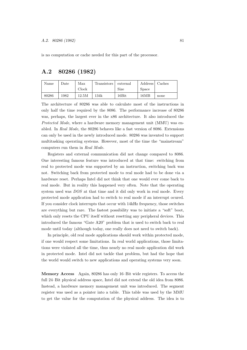is no computation or cache needed for this part of the processor.

#### A.2 80286 (1982)

| Name  | Date | Max   | Transistors | external        | Address | Caches |
|-------|------|-------|-------------|-----------------|---------|--------|
|       |      | Clock |             | <b>Size</b>     | Space   |        |
| 80286 | 1982 | 12.5M | 134k        | $16 \text{Bit}$ | 16MB    | none   |

The architecture of 80286 was able to calculate most of the instructions in only half the time required by the 8086. The performance increase of 80286 was, perhaps, the largest ever in the x86 architecture. It also introduced the Protected Mode, where a hardware memory management unit (MMU) was enabled. In Real Mode, the 80286 behaves like a fast version of 8086. Extensions can only be used in the newly introduced mode. 80286 was invented to support multitasking operating systems. However, most of the time the "mainstream" computers run them in Real Mode.

Registers and external communication did not change compared to 8086. One interesting famous feature was introduced at that time: switching from real to protected mode was supported by an instruction, switching back was not. Switching back from protected mode to real mode had to be done via a hardware reset. Perhaps Intel did not think that one would ever come back to real mode. But in reality this happened very often. Note that the operating system used was DOS at that time and it did only work in real mode. Every protected mode application had to switch to real mode if an interrupt ocured. If you consider clock interrupts that occur with 14kHz frequency, those switches are everything but rare. The fastest possibility was to initiate a "soft" boot, which only resets the CPU itself without resetting any peripheral devices. This introduced the famous "Gate A20" problem that is used to switch back to real mode until today (although today, one really does not need to switch back).

In principle, old real mode applications should work within protected mode, if one would respect some limitations. In real world applications, those limitations were violated all the time, thus nearly no real mode application did work in protected mode. Intel did not tackle that problem, but had the hope that the world would switch to new applications and operating systems very soon.

Memory Access Again, 80286 has only 16–Bit wide registers. To access the full 24–Bit physical address space, Intel did not extend the old idea from 8086. Instead, a hardware memory management unit was introduced. The segment register was used as a pointer into a table. This table was used by the MMU to get the value for the computation of the physical address. The idea is to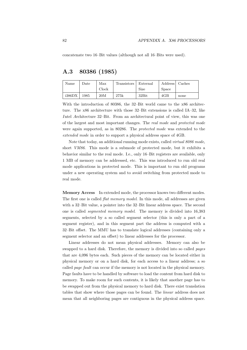concatenate two 16–Bit values (although not all 16–Bits were used).

### A.3 80386 (1985)

| Name   | Date | Max   | Transistors ' | External         | Address | Caches |
|--------|------|-------|---------------|------------------|---------|--------|
|        |      | Clock |               | <b>Size</b>      | Space   |        |
| i386DX | 1985 | 20M   | 275k          | $32\mathrm{Bit}$ | 4GB     | none   |

With the introduction of 80386, the 32–Bit world came to the x86 architecture. The x86 architecture with those 32–Bit extensions is called IA–32, like Intel Architecture 32–Bit. From an architectural point of view, this was one of the largest and most important changes. The real mode and protected mode were again supported, as in 80286. The protected mode was extended to the extended mode in order to support a physical address space of 4GB.

Note that today, an additional running mode exists, called virtual 8086 mode, short VM86. This mode is a submode of protected mode, but it exhibits a behavior similar to the real mode. I.e., only 16–Bit registers are available, only 1 MB of memory can be addressed, etc. This was introduced to run old real mode applications in protected mode. This is important to run old programs under a new operating system and to avoid switching from protected mode to real mode.

Memory Access In extended mode, the processor knows two different modes. The first one is called *flat memory model*. In this mode, all addresses are given with a 32–Bit value, a pointer into the 32–Bit linear address space. The second one is called segmented memory model. The memory is divided into 16,383 segments, selected by a so called segment selector (this is only a part of a segment register), and in this segment part the address is computed with a 32–Bit offset. The MMU has to translate logical addresses (containing only a segment selector and an offset) to linear addresses for the processor.

Linear addresses do not mean physical addresses. Memory can also be swapped to a hard disk. Therefore, the memory is divided into so called pages that are 4,096 bytes each. Such pieces of the memory can be located either in physical memory or on a hard disk, for each access to a linear address; a so called page fault can occur if the memory is not located in the physical memory. Page faults have to be handled by software to load the content from hard disk to memory. To make room for such contents, it is likely that another page has to be swapped out from the physical memory to hard disk. There exist translation tables that show where those pages can be found. The linear address does not mean that all neighboring pages are contiguous in the physical address space.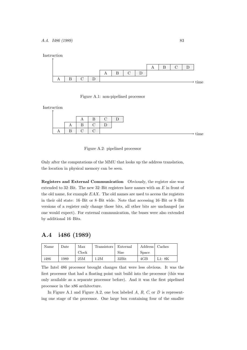Instruction



<span id="page-86-0"></span>Figure A.1: non-pipelined processor

Instruction  $\uparrow$ 

<span id="page-86-1"></span>

Only after the computations of the MMU that looks up the address translation, the location in physical memory can be seen.

Registers and External Communication Obviously, the register size was extended to 32–Bit. The new 32–Bit registers have names with an E in front of the old name, for example EAX. The old names are used to access the registers in their old state: 16–Bit or 8–Bit wide. Note that accessing 16–Bit or 8–Bit versions of a register only change those bits, all other bits are unchanged (as one would expect). For external communication, the buses were also extended by additional 16–Bits.

### A.4 i486 (1989)

| Name | Date | Max   | Transistors | External         | Address | Caches |
|------|------|-------|-------------|------------------|---------|--------|
|      |      | Clock |             | Size             | Space   |        |
| i486 | 1989 | 25M   | 1.2M        | $32\mathrm{Bit}$ | 4GB     | L1: 8K |

The Intel 486 processor brought changes that were less obvious. It was the first processor that had a floating point unit build into the processor (this was only available as a separate processor before). And it was the first pipelined processor in the x86 architecture.

In Figure [A.1](#page-86-0) and Figure [A.2,](#page-86-1) one box labeled  $A, B, C$ , or  $D$  is representing one stage of the processor. One large box containing four of the smaller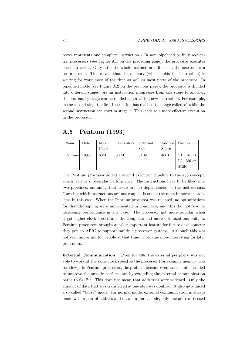boxes represents one complete instruction / In non–pipelined or fully sequential processors (see Figure [A.1 on the preceding page\)](#page-86-0), the processor executes one instruction. Only after the whole instruction is finished, the next one can be processed. This means that the memory (which holds the instruction) is waiting for work most of the time as well as most parts of the processor. In pipelined mode (see Figure [A.2 on the previous page\)](#page-86-1), the processor is divided into different stages. As an instruction progresses from one stage to another, the now empty stage can be refilled again with a new instruction. For example, in the second step, the first instruction has reached the stage called  $B$ , while the second instruction can start in stage A. This leads to a more effective execution in the processor.

### A.5 Pentium (1993)

| Name    | Date | Max   | Transistors | External | <b>Address</b> | Caches       |
|---------|------|-------|-------------|----------|----------------|--------------|
|         |      | Clock |             | Size     | <b>Space</b>   |              |
| Pentium | 1993 | 60M   | 3.1M        | 64Bit    | 4GB            | L1: 16KB     |
|         |      |       |             |          |                | $L2: 256$ or |
|         |      |       |             |          |                | 512K         |

The Pentium processor added a second execution pipeline to the 486 concept, which lead to superscalar performance. The instructions have to be filled into two pipelines, assuming that there are no dependencies of the instructions. Guessing which instructions are not coupled is one of the most important problems in this case. When the Pentium processor was released, no optimizations for that decoupling were implemented in compilers, and this did not lead to increasing performance in any case. The processor got more popular when it got higher clock speeds and the compilers had more optimizations built in. Pentium processors brought another important feature for future development: they got an APIC to support multiple processor systems. Although this was not very important for people at that time, it became more interesting for later processors.

External Communication E/ven for 486, the external periphery was not able to work at the same clock speed as the processor (for example memory was too slow). In Pentium processors, the problem became even worse. Intel decided to improve the outside performance by extending the external communication paths to 64–Bit. This does not mean that addresses were widened. Only the amount of data that was transferred at one step was doubled. It also introduced a so called "burst" mode. For normal mode, external communication is always made with a pair of address and data. In burst mode, only one address is used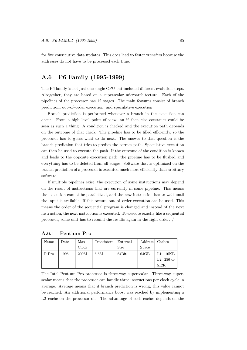for five consecutive data updates. This does lead to faster transfers because the addresses do not have to be processed each time.

#### A.6 P6 Family (1995-1999)

The P6 family is not just one single CPU but included different evolution steps. Altogether, they are based on a superscalar microarchitecture. Each of the pipelines of the processor has 12 stages. The main features consist of branch prediction, out–of–order execution, and speculative execution.

Branch prediction is performed whenever a branch in the execution can occur. From a high level point of view, an if–then–else construct could be seen as such a thing. A condition is checked and the execution path depends on the outcome of that check. The pipeline has to be filled efficiently, so the processor has to guess what to do next. The answer to that question is the branch prediction that tries to predict the correct path. Speculative execution can then be used to execute the path. If the outcome of the condition is known and leads to the opposite execution path, the pipeline has to be flushed and everything has to be deleted from all stages. Software that is optimized on the branch prediction of a processor is executed much more efficiently than arbitrary software.

If multiple pipelines exist, the execution of some instructions may depend on the result of instructions that are currently in some pipeline. This means the execution cannot be parallelized, and the new instruction has to wait until the input is available. If this occurs, out–of–order execution can be used. This means the order of the sequential program is changed and instead of the next instruction, the next instruction is executed. To execute exactly like a sequential processor, some unit has to rebuild the results again in the right order. /

| Name  | Date | Max   | Transistors | External    | Address      | Caches       |
|-------|------|-------|-------------|-------------|--------------|--------------|
|       |      | Clock |             | <b>Size</b> | <b>Space</b> |              |
| P Pro | 1995 | 200M  | 5.5M        | 64Bit       | 64GB         | L1: 16KB     |
|       |      |       |             |             |              | L2: $256$ or |
|       |      |       |             |             |              | 512K         |

#### A.6.1 Pentium Pro

The Intel Pentium Pro processor is three-way superscalar. Three-way superscalar means that the processor can handle three instructions per clock cycle in average. Average means that if branch prediction is wrong, this value cannot be reached. An additional performance boost was reached by implementing a L2–cache on the processor die. The advantage of such caches depends on the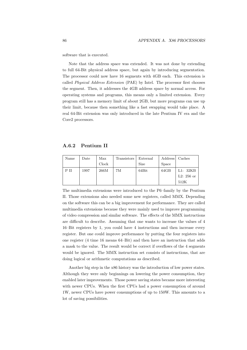software that is executed.

Note that the address space was extended. It was not done by extending to full 64-Bit physical address space, but again by introducing segmentation. The processor could now have 16 segments with 4GB each. This extension is called Physical Address Extension (PAE) by Intel. The processor first chooses the segment. Then, it addresses the 4GB address space by normal access. For operating systems and programs, this means only a limited extension. Every program still has a memory limit of about 2GB, but more programs can use up their limit, because then something like a fast swapping would take place. A real 64-Bit extension was only introduced in the late Pentium IV era and the Core2 processors.

A.6.2 Pentium II

| Name | Date | Max   | Transistors | External    | <b>Address</b> | Caches       |
|------|------|-------|-------------|-------------|----------------|--------------|
|      |      | Clock |             | <b>Size</b> | Space          |              |
| РII  | 1997 | 266M  | 7M          | 64Bit       | 64GB           | L1: 32KB     |
|      |      |       |             |             |                | L2: $256$ or |
|      |      |       |             |             |                | 512K         |

The multimedia extensions were introduced to the P6–family by the Pentium II. Those extensions also needed some new registers, called MMX. Depending on the software this can be a big improvement for performance. They are called multimedia extensions because they were mainly used to improve programming of video compression and similar software. The effects of the MMX instructions are difficult to describe. Assuming that one wants to increase the values of 4 16–Bit registers by 1, you could have 4 instructions and then increase every register. But one could improve performance by putting the four registers into one register (4 time 16 means 64–Bit) and then have an instruction that adds a mask to the value. The result would be correct if overflows of the 4 segments would be ignored. The MMX instruction set consists of instructions, that are doing logical or arithmetic computations as described.

Another big step in the x86 history was the introduction of low power states. Although they were only beginnings on lowering the power consumption, they enabled later improvements. Those power saving states became more interesting with newer CPUs. When the first CPUs had a power consumption of around 1W, newer CPUs have power consumptions of up to 150W. This amounts to a lot of saving possibilities.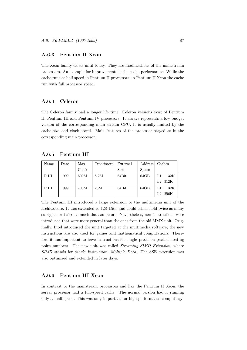#### A.6.3 Pentium II Xeon

The Xeon family exists until today. They are modifications of the mainstream processors. An example for improvements is the cache performance. While the cache runs at half speed in Pentium II processors, in Pentium II Xeon the cache run with full processor speed.

#### A.6.4 Celeron

The Celeron family had a longer life time. Celeron versions exist of Pentium II, Pentium III and Pentium IV processors. It always represents a low budget version of the corresponding main stream CPU. It is usually limited by the cache size and clock speed. Main features of the processor stayed as in the corresponding main processor.

| Name  | Date | Max   | Transistors | External    | Address | Caches        |
|-------|------|-------|-------------|-------------|---------|---------------|
|       |      | Clock |             | <b>Size</b> | Space   |               |
| P III | 1999 | 500M  | 8.2M        | 64Bit       | 64GB    | 32K<br>$L1$ : |
|       |      |       |             |             |         | L2: 512K      |
| P III | 1999 | 700M  | 28M         | 64Bit       | 64GB    | 32K<br>$L1$ : |
|       |      |       |             |             |         | L2: 256K      |

A.6.5 Pentium III

The Pentium III introduced a large extension to the multimedia unit of the architecture. It was extended to 128–Bits, and could either hold twice as many subtypes or twice as much data as before. Nevertheless, new instructions were introduced that were more general than the ones from the old MMX unit. Originally, Intel introduced the unit targeted at the multimedia software, the new instructions are also used for games and mathematical computations. Therefore it was important to have instructions for single–precision packed floating point numbers. The new unit was called Streaming SIMD Extension, where SIMD stands for Single Instruction, Multiple Data. The SSE extension was also optimized and extended in later days.

#### A.6.6 Pentium III Xeon

In contrast to the mainstream processors and like the Pentium II Xeon, the server processor had a full–speed cache. The normal version had it running only at half speed. This was only important for high performance computing.